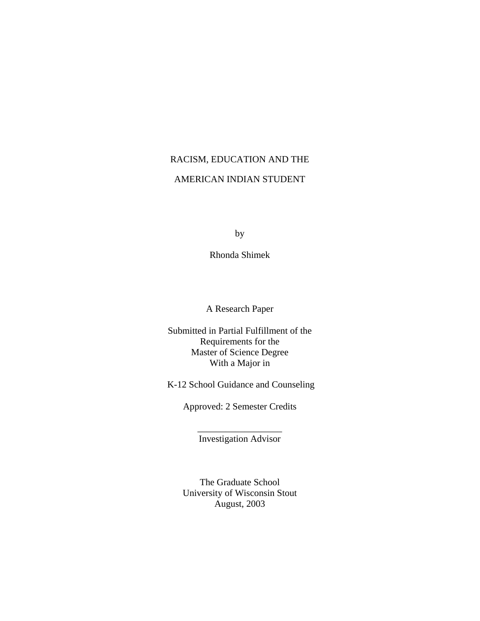# RACISM, EDUCATION AND THE AMERICAN INDIAN STUDENT

by

Rhonda Shimek

A Research Paper

Submitted in Partial Fulfillment of the Requirements for the Master of Science Degree With a Major in

K-12 School Guidance and Counseling

Approved: 2 Semester Credits

\_\_\_\_\_\_\_\_\_\_\_\_\_\_\_\_\_\_ Investigation Advisor

The Graduate School University of Wisconsin Stout August, 2003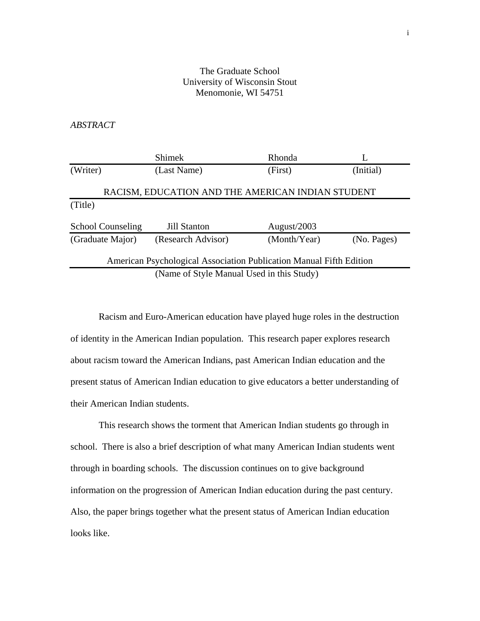# The Graduate School University of Wisconsin Stout Menomonie, WI 54751

# *ABSTRACT*

|                          | <b>Shimek</b>                                                       | Rhonda       |             |
|--------------------------|---------------------------------------------------------------------|--------------|-------------|
| (Writer)                 | (Last Name)                                                         | (First)      | (Initial)   |
|                          | RACISM, EDUCATION AND THE AMERICAN INDIAN STUDENT                   |              |             |
| (Title)                  |                                                                     |              |             |
| <b>School Counseling</b> | <b>Jill Stanton</b>                                                 | August/2003  |             |
| (Graduate Major)         | (Research Advisor)                                                  | (Month/Year) | (No. Pages) |
|                          | American Psychological Association Publication Manual Fifth Edition |              |             |
|                          | (Name of Style Manual Used in this Study)                           |              |             |

 Racism and Euro-American education have played huge roles in the destruction of identity in the American Indian population. This research paper explores research about racism toward the American Indians, past American Indian education and the present status of American Indian education to give educators a better understanding of their American Indian students.

 This research shows the torment that American Indian students go through in school. There is also a brief description of what many American Indian students went through in boarding schools. The discussion continues on to give background information on the progression of American Indian education during the past century. Also, the paper brings together what the present status of American Indian education looks like.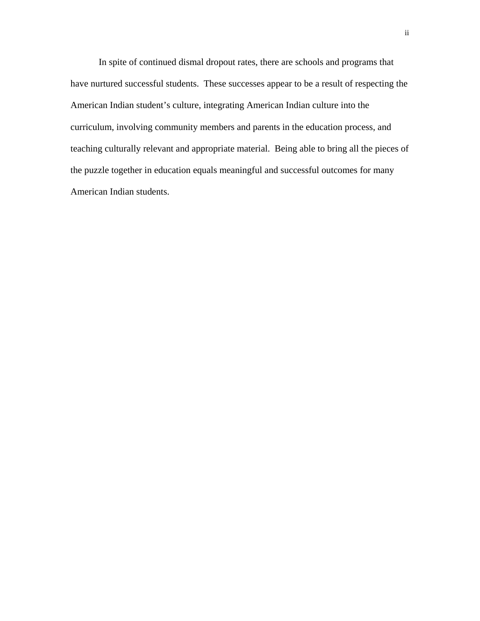In spite of continued dismal dropout rates, there are schools and programs that have nurtured successful students. These successes appear to be a result of respecting the American Indian student's culture, integrating American Indian culture into the curriculum, involving community members and parents in the education process, and teaching culturally relevant and appropriate material. Being able to bring all the pieces of the puzzle together in education equals meaningful and successful outcomes for many American Indian students.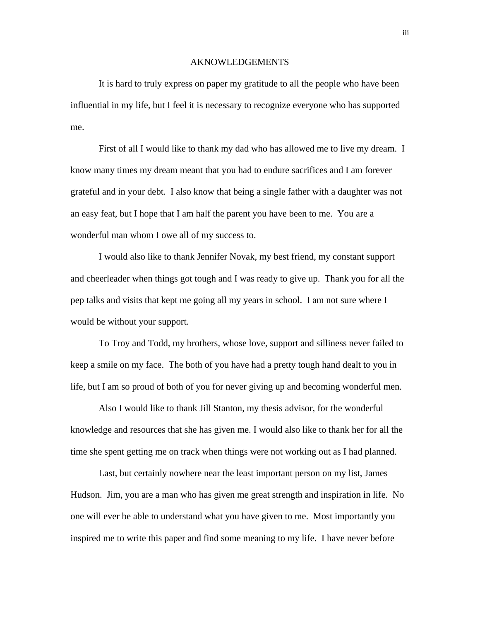#### AKNOWLEDGEMENTS

It is hard to truly express on paper my gratitude to all the people who have been influential in my life, but I feel it is necessary to recognize everyone who has supported me.

 First of all I would like to thank my dad who has allowed me to live my dream. I know many times my dream meant that you had to endure sacrifices and I am forever grateful and in your debt. I also know that being a single father with a daughter was not an easy feat, but I hope that I am half the parent you have been to me. You are a wonderful man whom I owe all of my success to.

 I would also like to thank Jennifer Novak, my best friend, my constant support and cheerleader when things got tough and I was ready to give up. Thank you for all the pep talks and visits that kept me going all my years in school. I am not sure where I would be without your support.

 To Troy and Todd, my brothers, whose love, support and silliness never failed to keep a smile on my face. The both of you have had a pretty tough hand dealt to you in life, but I am so proud of both of you for never giving up and becoming wonderful men.

 Also I would like to thank Jill Stanton, my thesis advisor, for the wonderful knowledge and resources that she has given me. I would also like to thank her for all the time she spent getting me on track when things were not working out as I had planned.

 Last, but certainly nowhere near the least important person on my list, James Hudson. Jim, you are a man who has given me great strength and inspiration in life. No one will ever be able to understand what you have given to me. Most importantly you inspired me to write this paper and find some meaning to my life. I have never before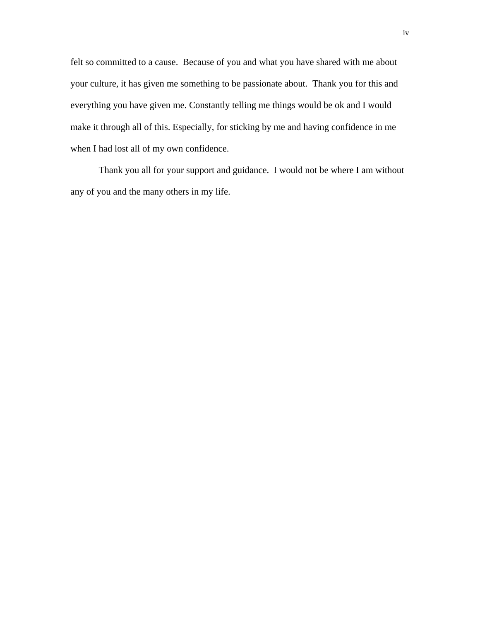felt so committed to a cause. Because of you and what you have shared with me about your culture, it has given me something to be passionate about. Thank you for this and everything you have given me. Constantly telling me things would be ok and I would make it through all of this. Especially, for sticking by me and having confidence in me when I had lost all of my own confidence.

Thank you all for your support and guidance. I would not be where I am without any of you and the many others in my life.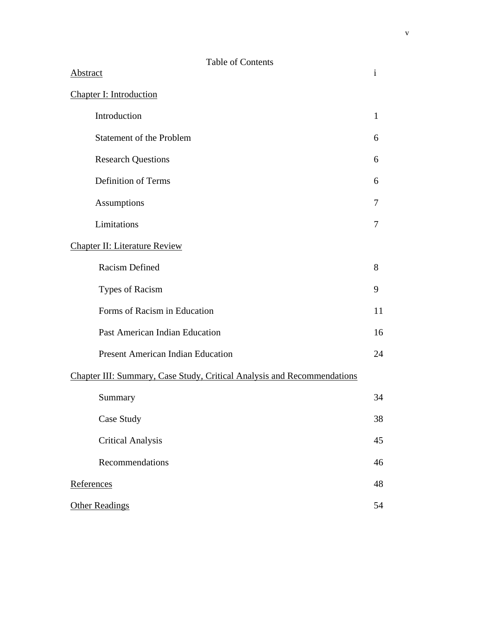| <b>Table of Contents</b>                                                |              |
|-------------------------------------------------------------------------|--------------|
| Abstract                                                                | $\mathbf{i}$ |
| <b>Chapter I: Introduction</b>                                          |              |
| Introduction                                                            | $\mathbf{1}$ |
| Statement of the Problem                                                | 6            |
| <b>Research Questions</b>                                               | 6            |
| <b>Definition of Terms</b>                                              | 6            |
| Assumptions                                                             |              |
| Limitations                                                             |              |
| <b>Chapter II: Literature Review</b>                                    |              |
| Racism Defined                                                          | 8            |
| <b>Types of Racism</b>                                                  |              |
| Forms of Racism in Education                                            |              |
| Past American Indian Education                                          |              |
| <b>Present American Indian Education</b>                                | 24           |
| Chapter III: Summary, Case Study, Critical Analysis and Recommendations |              |
| Summary                                                                 | 34           |
| Case Study                                                              | 38           |
| <b>Critical Analysis</b>                                                | 45           |
| Recommendations                                                         | 46           |
| References                                                              |              |
| <b>Other Readings</b>                                                   |              |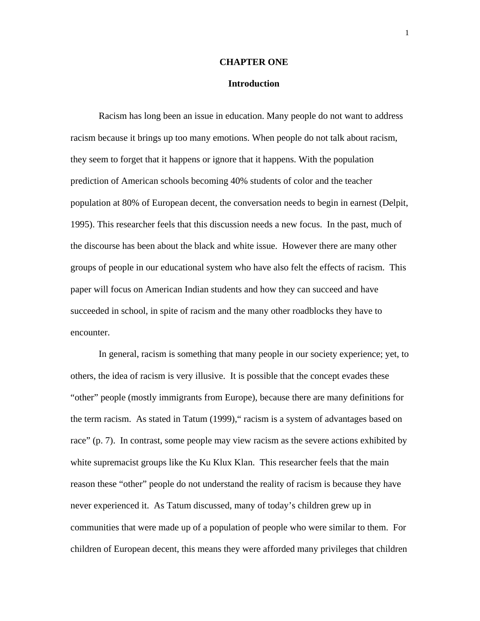#### **CHAPTER ONE**

#### **Introduction**

Racism has long been an issue in education. Many people do not want to address racism because it brings up too many emotions. When people do not talk about racism, they seem to forget that it happens or ignore that it happens. With the population prediction of American schools becoming 40% students of color and the teacher population at 80% of European decent, the conversation needs to begin in earnest (Delpit, 1995). This researcher feels that this discussion needs a new focus. In the past, much of the discourse has been about the black and white issue. However there are many other groups of people in our educational system who have also felt the effects of racism. This paper will focus on American Indian students and how they can succeed and have succeeded in school, in spite of racism and the many other roadblocks they have to encounter.

In general, racism is something that many people in our society experience; yet, to others, the idea of racism is very illusive. It is possible that the concept evades these "other" people (mostly immigrants from Europe), because there are many definitions for the term racism. As stated in Tatum (1999)," racism is a system of advantages based on race" (p. 7). In contrast, some people may view racism as the severe actions exhibited by white supremacist groups like the Ku Klux Klan. This researcher feels that the main reason these "other" people do not understand the reality of racism is because they have never experienced it. As Tatum discussed, many of today's children grew up in communities that were made up of a population of people who were similar to them. For children of European decent, this means they were afforded many privileges that children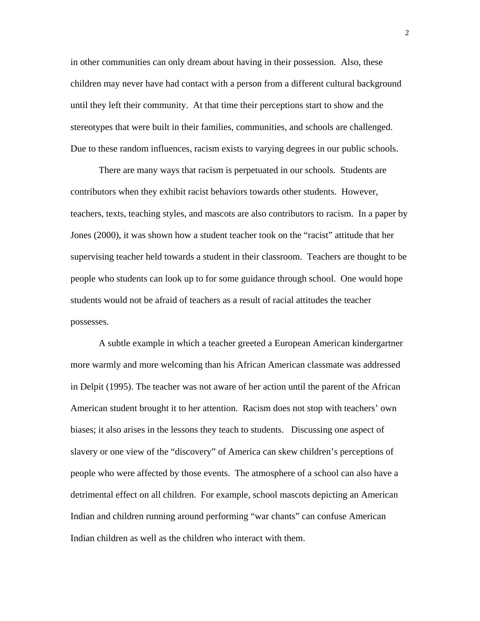in other communities can only dream about having in their possession. Also, these children may never have had contact with a person from a different cultural background until they left their community. At that time their perceptions start to show and the stereotypes that were built in their families, communities, and schools are challenged. Due to these random influences, racism exists to varying degrees in our public schools.

There are many ways that racism is perpetuated in our schools. Students are contributors when they exhibit racist behaviors towards other students. However, teachers, texts, teaching styles, and mascots are also contributors to racism. In a paper by Jones (2000), it was shown how a student teacher took on the "racist" attitude that her supervising teacher held towards a student in their classroom. Teachers are thought to be people who students can look up to for some guidance through school. One would hope students would not be afraid of teachers as a result of racial attitudes the teacher possesses.

A subtle example in which a teacher greeted a European American kindergartner more warmly and more welcoming than his African American classmate was addressed in Delpit (1995). The teacher was not aware of her action until the parent of the African American student brought it to her attention. Racism does not stop with teachers' own biases; it also arises in the lessons they teach to students. Discussing one aspect of slavery or one view of the "discovery" of America can skew children's perceptions of people who were affected by those events. The atmosphere of a school can also have a detrimental effect on all children. For example, school mascots depicting an American Indian and children running around performing "war chants" can confuse American Indian children as well as the children who interact with them.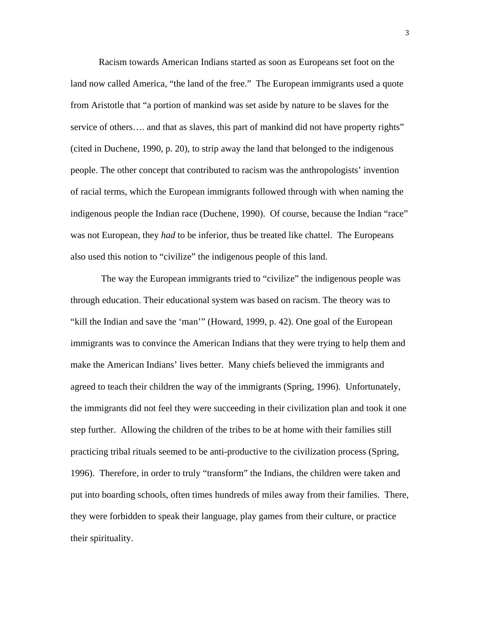Racism towards American Indians started as soon as Europeans set foot on the land now called America, "the land of the free." The European immigrants used a quote from Aristotle that "a portion of mankind was set aside by nature to be slaves for the service of others.... and that as slaves, this part of mankind did not have property rights" (cited in Duchene, 1990, p. 20), to strip away the land that belonged to the indigenous people. The other concept that contributed to racism was the anthropologists' invention of racial terms, which the European immigrants followed through with when naming the indigenous people the Indian race (Duchene, 1990). Of course, because the Indian "race" was not European, they *had* to be inferior, thus be treated like chattel. The Europeans also used this notion to "civilize" the indigenous people of this land.

 The way the European immigrants tried to "civilize" the indigenous people was through education. Their educational system was based on racism. The theory was to "kill the Indian and save the 'man'" (Howard, 1999, p. 42). One goal of the European immigrants was to convince the American Indians that they were trying to help them and make the American Indians' lives better. Many chiefs believed the immigrants and agreed to teach their children the way of the immigrants (Spring, 1996). Unfortunately, the immigrants did not feel they were succeeding in their civilization plan and took it one step further. Allowing the children of the tribes to be at home with their families still practicing tribal rituals seemed to be anti-productive to the civilization process (Spring, 1996). Therefore, in order to truly "transform" the Indians, the children were taken and put into boarding schools, often times hundreds of miles away from their families. There, they were forbidden to speak their language, play games from their culture, or practice their spirituality.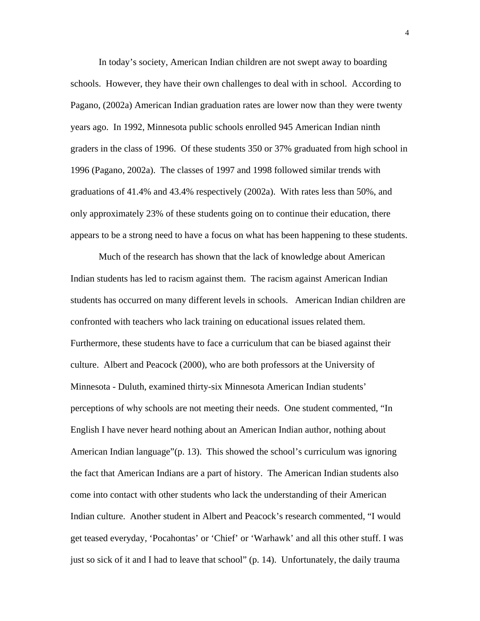In today's society, American Indian children are not swept away to boarding schools. However, they have their own challenges to deal with in school. According to Pagano, (2002a) American Indian graduation rates are lower now than they were twenty years ago. In 1992, Minnesota public schools enrolled 945 American Indian ninth graders in the class of 1996. Of these students 350 or 37% graduated from high school in 1996 (Pagano, 2002a). The classes of 1997 and 1998 followed similar trends with graduations of 41.4% and 43.4% respectively (2002a). With rates less than 50%, and only approximately 23% of these students going on to continue their education, there appears to be a strong need to have a focus on what has been happening to these students.

Much of the research has shown that the lack of knowledge about American Indian students has led to racism against them. The racism against American Indian students has occurred on many different levels in schools. American Indian children are confronted with teachers who lack training on educational issues related them. Furthermore, these students have to face a curriculum that can be biased against their culture. Albert and Peacock (2000), who are both professors at the University of Minnesota - Duluth, examined thirty-six Minnesota American Indian students' perceptions of why schools are not meeting their needs. One student commented, "In English I have never heard nothing about an American Indian author, nothing about American Indian language"(p. 13). This showed the school's curriculum was ignoring the fact that American Indians are a part of history. The American Indian students also come into contact with other students who lack the understanding of their American Indian culture. Another student in Albert and Peacock's research commented, "I would get teased everyday, 'Pocahontas' or 'Chief' or 'Warhawk' and all this other stuff. I was just so sick of it and I had to leave that school" (p. 14). Unfortunately, the daily trauma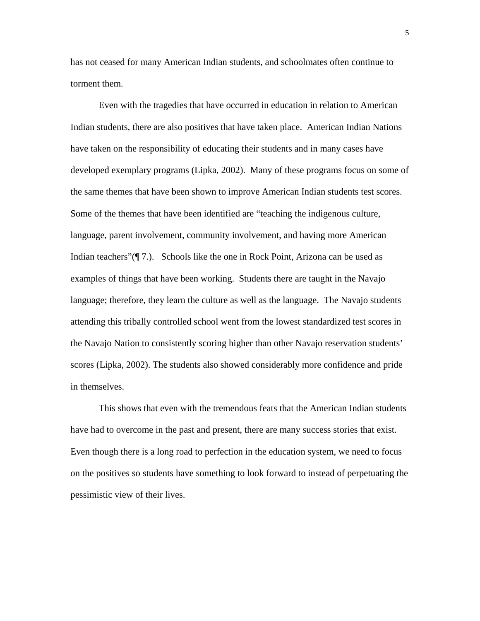has not ceased for many American Indian students, and schoolmates often continue to torment them.

Even with the tragedies that have occurred in education in relation to American Indian students, there are also positives that have taken place. American Indian Nations have taken on the responsibility of educating their students and in many cases have developed exemplary programs (Lipka, 2002). Many of these programs focus on some of the same themes that have been shown to improve American Indian students test scores. Some of the themes that have been identified are "teaching the indigenous culture, language, parent involvement, community involvement, and having more American Indian teachers"( $\P$  7.). Schools like the one in Rock Point, Arizona can be used as examples of things that have been working. Students there are taught in the Navajo language; therefore, they learn the culture as well as the language. The Navajo students attending this tribally controlled school went from the lowest standardized test scores in the Navajo Nation to consistently scoring higher than other Navajo reservation students' scores (Lipka, 2002). The students also showed considerably more confidence and pride in themselves.

This shows that even with the tremendous feats that the American Indian students have had to overcome in the past and present, there are many success stories that exist. Even though there is a long road to perfection in the education system, we need to focus on the positives so students have something to look forward to instead of perpetuating the pessimistic view of their lives.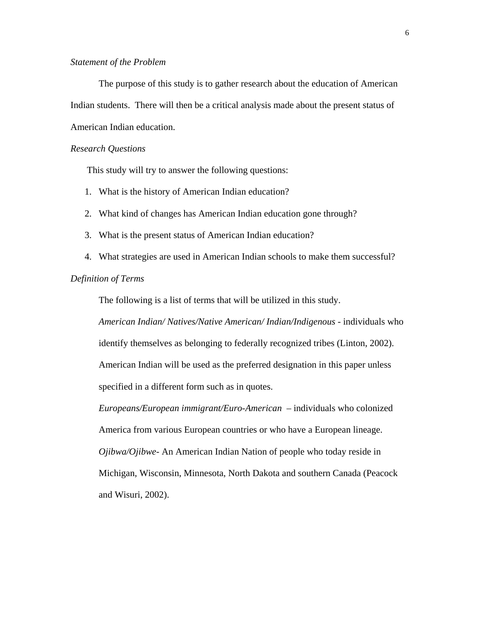## *Statement of the Problem*

The purpose of this study is to gather research about the education of American Indian students. There will then be a critical analysis made about the present status of American Indian education.

#### *Research Questions*

This study will try to answer the following questions:

- 1. What is the history of American Indian education?
- 2. What kind of changes has American Indian education gone through?
- 3. What is the present status of American Indian education?
- 4. What strategies are used in American Indian schools to make them successful?

# *Definition of Terms*

The following is a list of terms that will be utilized in this study.

*American Indian/ Natives/Native American/ Indian/Indigenous* - individuals who identify themselves as belonging to federally recognized tribes (Linton, 2002). American Indian will be used as the preferred designation in this paper unless specified in a different form such as in quotes.

*Europeans/European immigrant/Euro-American –* individuals who colonized America from various European countries or who have a European lineage. *Ojibwa/Ojibwe-* An American Indian Nation of people who today reside in Michigan, Wisconsin, Minnesota, North Dakota and southern Canada (Peacock and Wisuri, 2002).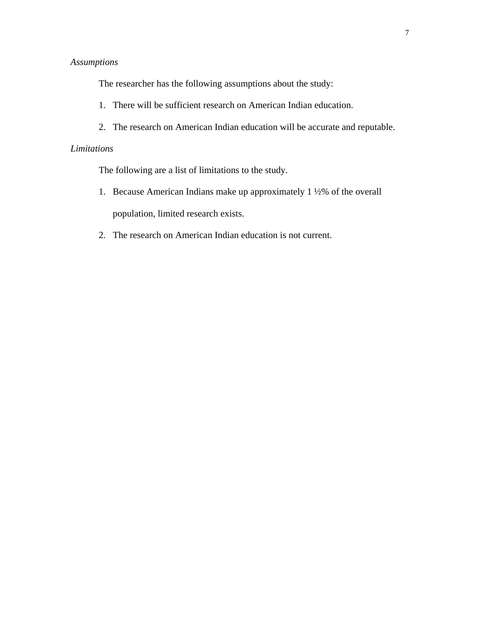# *Assumptions*

The researcher has the following assumptions about the study:

- 1. There will be sufficient research on American Indian education.
- 2. The research on American Indian education will be accurate and reputable.

# *Limitations*

The following are a list of limitations to the study.

- 1. Because American Indians make up approximately 1 ½% of the overall population, limited research exists.
- 2. The research on American Indian education is not current.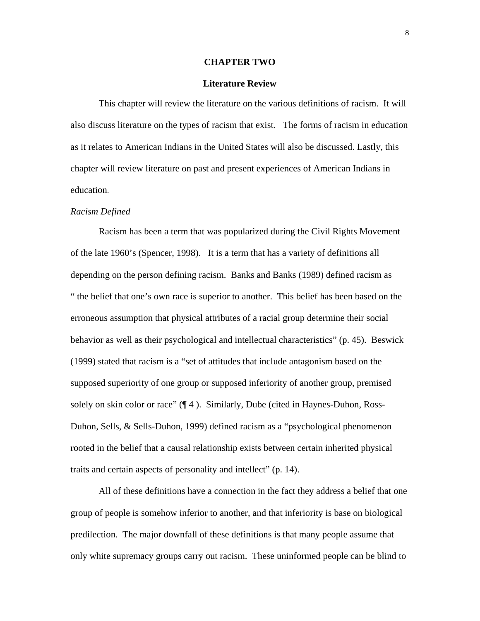#### **CHAPTER TWO**

#### **Literature Review**

This chapter will review the literature on the various definitions of racism. It will also discuss literature on the types of racism that exist. The forms of racism in education as it relates to American Indians in the United States will also be discussed. Lastly, this chapter will review literature on past and present experiences of American Indians in education.

#### *Racism Defined*

Racism has been a term that was popularized during the Civil Rights Movement of the late 1960's (Spencer, 1998). It is a term that has a variety of definitions all depending on the person defining racism. Banks and Banks (1989) defined racism as " the belief that one's own race is superior to another. This belief has been based on the erroneous assumption that physical attributes of a racial group determine their social behavior as well as their psychological and intellectual characteristics" (p. 45). Beswick (1999) stated that racism is a "set of attitudes that include antagonism based on the supposed superiority of one group or supposed inferiority of another group, premised solely on skin color or race" (¶ 4 ). Similarly, Dube (cited in Haynes-Duhon, Ross-Duhon, Sells, & Sells-Duhon, 1999) defined racism as a "psychological phenomenon rooted in the belief that a causal relationship exists between certain inherited physical traits and certain aspects of personality and intellect" (p. 14).

All of these definitions have a connection in the fact they address a belief that one group of people is somehow inferior to another, and that inferiority is base on biological predilection. The major downfall of these definitions is that many people assume that only white supremacy groups carry out racism. These uninformed people can be blind to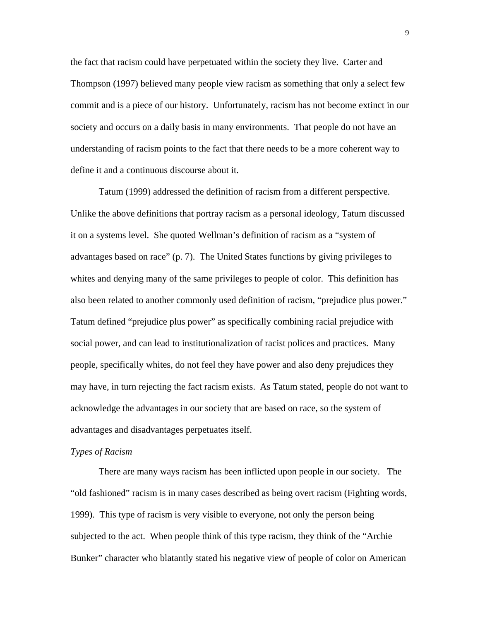the fact that racism could have perpetuated within the society they live. Carter and Thompson (1997) believed many people view racism as something that only a select few commit and is a piece of our history. Unfortunately, racism has not become extinct in our society and occurs on a daily basis in many environments. That people do not have an understanding of racism points to the fact that there needs to be a more coherent way to define it and a continuous discourse about it.

Tatum (1999) addressed the definition of racism from a different perspective. Unlike the above definitions that portray racism as a personal ideology, Tatum discussed it on a systems level. She quoted Wellman's definition of racism as a "system of advantages based on race" (p. 7). The United States functions by giving privileges to whites and denying many of the same privileges to people of color. This definition has also been related to another commonly used definition of racism, "prejudice plus power." Tatum defined "prejudice plus power" as specifically combining racial prejudice with social power, and can lead to institutionalization of racist polices and practices. Many people, specifically whites, do not feel they have power and also deny prejudices they may have, in turn rejecting the fact racism exists. As Tatum stated, people do not want to acknowledge the advantages in our society that are based on race, so the system of advantages and disadvantages perpetuates itself.

#### *Types of Racism*

There are many ways racism has been inflicted upon people in our society. The "old fashioned" racism is in many cases described as being overt racism (Fighting words, 1999). This type of racism is very visible to everyone, not only the person being subjected to the act. When people think of this type racism, they think of the "Archie Bunker" character who blatantly stated his negative view of people of color on American

9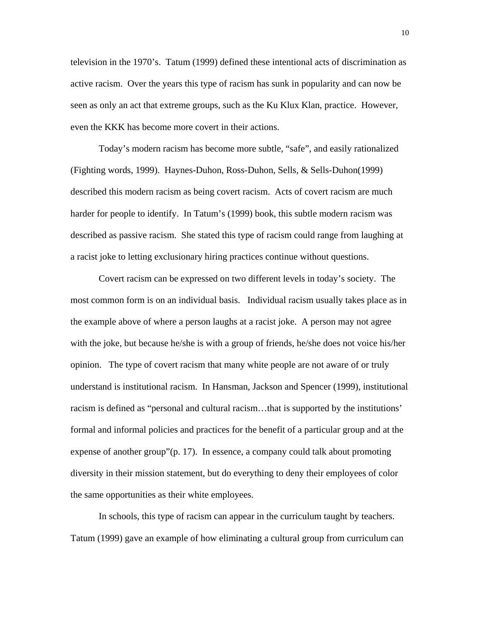television in the 1970's. Tatum (1999) defined these intentional acts of discrimination as active racism. Over the years this type of racism has sunk in popularity and can now be seen as only an act that extreme groups, such as the Ku Klux Klan, practice. However, even the KKK has become more covert in their actions.

Today's modern racism has become more subtle, "safe", and easily rationalized (Fighting words, 1999). Haynes-Duhon, Ross-Duhon, Sells, & Sells-Duhon(1999) described this modern racism as being covert racism. Acts of covert racism are much harder for people to identify. In Tatum's (1999) book, this subtle modern racism was described as passive racism. She stated this type of racism could range from laughing at a racist joke to letting exclusionary hiring practices continue without questions.

Covert racism can be expressed on two different levels in today's society. The most common form is on an individual basis. Individual racism usually takes place as in the example above of where a person laughs at a racist joke. A person may not agree with the joke, but because he/she is with a group of friends, he/she does not voice his/her opinion. The type of covert racism that many white people are not aware of or truly understand is institutional racism. In Hansman, Jackson and Spencer (1999), institutional racism is defined as "personal and cultural racism…that is supported by the institutions' formal and informal policies and practices for the benefit of a particular group and at the expense of another group"(p. 17). In essence, a company could talk about promoting diversity in their mission statement, but do everything to deny their employees of color the same opportunities as their white employees.

In schools, this type of racism can appear in the curriculum taught by teachers. Tatum (1999) gave an example of how eliminating a cultural group from curriculum can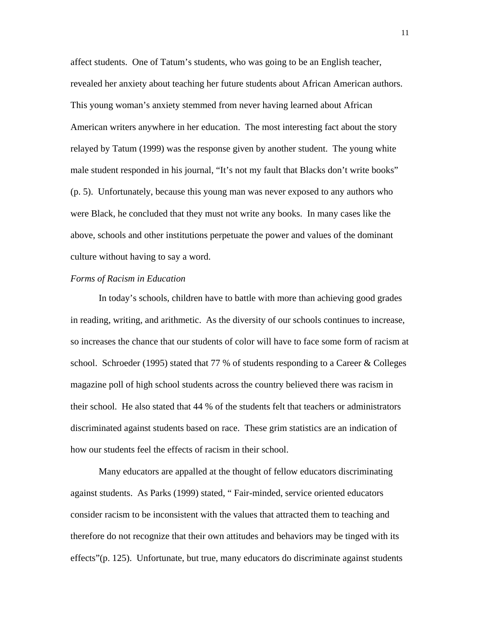affect students. One of Tatum's students, who was going to be an English teacher, revealed her anxiety about teaching her future students about African American authors. This young woman's anxiety stemmed from never having learned about African American writers anywhere in her education. The most interesting fact about the story relayed by Tatum (1999) was the response given by another student. The young white male student responded in his journal, "It's not my fault that Blacks don't write books" (p. 5). Unfortunately, because this young man was never exposed to any authors who were Black, he concluded that they must not write any books. In many cases like the above, schools and other institutions perpetuate the power and values of the dominant culture without having to say a word.

#### *Forms of Racism in Education*

In today's schools, children have to battle with more than achieving good grades in reading, writing, and arithmetic. As the diversity of our schools continues to increase, so increases the chance that our students of color will have to face some form of racism at school. Schroeder (1995) stated that 77 % of students responding to a Career  $&$  Colleges magazine poll of high school students across the country believed there was racism in their school. He also stated that 44 % of the students felt that teachers or administrators discriminated against students based on race. These grim statistics are an indication of how our students feel the effects of racism in their school.

Many educators are appalled at the thought of fellow educators discriminating against students. As Parks (1999) stated, " Fair-minded, service oriented educators consider racism to be inconsistent with the values that attracted them to teaching and therefore do not recognize that their own attitudes and behaviors may be tinged with its effects"(p. 125). Unfortunate, but true, many educators do discriminate against students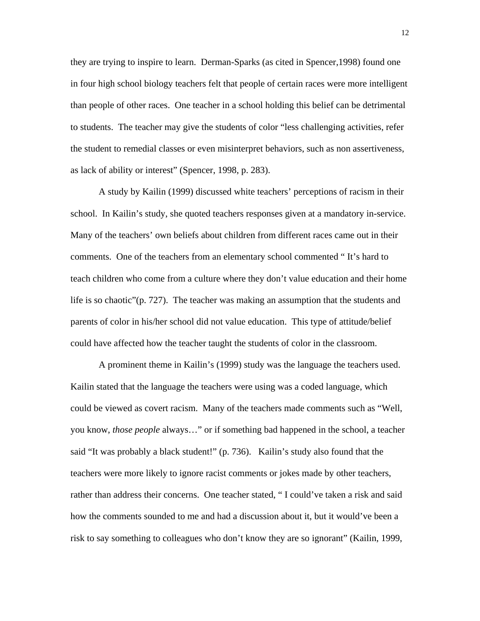they are trying to inspire to learn. Derman-Sparks (as cited in Spencer,1998) found one in four high school biology teachers felt that people of certain races were more intelligent than people of other races. One teacher in a school holding this belief can be detrimental to students. The teacher may give the students of color "less challenging activities, refer the student to remedial classes or even misinterpret behaviors, such as non assertiveness, as lack of ability or interest" (Spencer, 1998, p. 283).

A study by Kailin (1999) discussed white teachers' perceptions of racism in their school. In Kailin's study, she quoted teachers responses given at a mandatory in-service. Many of the teachers' own beliefs about children from different races came out in their comments. One of the teachers from an elementary school commented " It's hard to teach children who come from a culture where they don't value education and their home life is so chaotic"(p. 727). The teacher was making an assumption that the students and parents of color in his/her school did not value education. This type of attitude/belief could have affected how the teacher taught the students of color in the classroom.

A prominent theme in Kailin's (1999) study was the language the teachers used. Kailin stated that the language the teachers were using was a coded language, which could be viewed as covert racism. Many of the teachers made comments such as "Well, you know, *those people* always…" or if something bad happened in the school, a teacher said "It was probably a black student!" (p. 736). Kailin's study also found that the teachers were more likely to ignore racist comments or jokes made by other teachers, rather than address their concerns. One teacher stated, " I could've taken a risk and said how the comments sounded to me and had a discussion about it, but it would've been a risk to say something to colleagues who don't know they are so ignorant" (Kailin, 1999,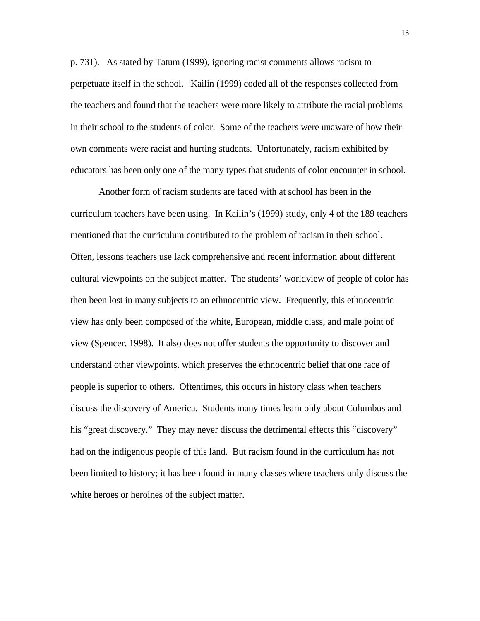p. 731). As stated by Tatum (1999), ignoring racist comments allows racism to perpetuate itself in the school. Kailin (1999) coded all of the responses collected from the teachers and found that the teachers were more likely to attribute the racial problems in their school to the students of color. Some of the teachers were unaware of how their own comments were racist and hurting students. Unfortunately, racism exhibited by educators has been only one of the many types that students of color encounter in school.

Another form of racism students are faced with at school has been in the curriculum teachers have been using. In Kailin's (1999) study, only 4 of the 189 teachers mentioned that the curriculum contributed to the problem of racism in their school. Often, lessons teachers use lack comprehensive and recent information about different cultural viewpoints on the subject matter. The students' worldview of people of color has then been lost in many subjects to an ethnocentric view. Frequently, this ethnocentric view has only been composed of the white, European, middle class, and male point of view (Spencer, 1998). It also does not offer students the opportunity to discover and understand other viewpoints, which preserves the ethnocentric belief that one race of people is superior to others. Oftentimes, this occurs in history class when teachers discuss the discovery of America. Students many times learn only about Columbus and his "great discovery." They may never discuss the detrimental effects this "discovery" had on the indigenous people of this land. But racism found in the curriculum has not been limited to history; it has been found in many classes where teachers only discuss the white heroes or heroines of the subject matter.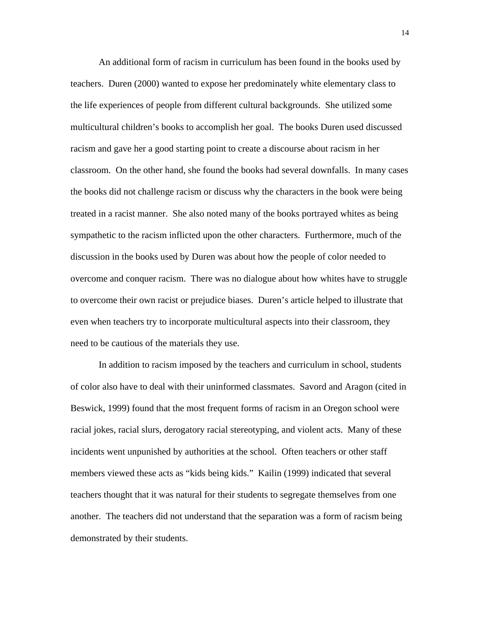An additional form of racism in curriculum has been found in the books used by teachers. Duren (2000) wanted to expose her predominately white elementary class to the life experiences of people from different cultural backgrounds. She utilized some multicultural children's books to accomplish her goal. The books Duren used discussed racism and gave her a good starting point to create a discourse about racism in her classroom. On the other hand, she found the books had several downfalls. In many cases the books did not challenge racism or discuss why the characters in the book were being treated in a racist manner. She also noted many of the books portrayed whites as being sympathetic to the racism inflicted upon the other characters. Furthermore, much of the discussion in the books used by Duren was about how the people of color needed to overcome and conquer racism. There was no dialogue about how whites have to struggle to overcome their own racist or prejudice biases. Duren's article helped to illustrate that even when teachers try to incorporate multicultural aspects into their classroom, they need to be cautious of the materials they use.

 In addition to racism imposed by the teachers and curriculum in school, students of color also have to deal with their uninformed classmates. Savord and Aragon (cited in Beswick, 1999) found that the most frequent forms of racism in an Oregon school were racial jokes, racial slurs, derogatory racial stereotyping, and violent acts. Many of these incidents went unpunished by authorities at the school. Often teachers or other staff members viewed these acts as "kids being kids." Kailin (1999) indicated that several teachers thought that it was natural for their students to segregate themselves from one another. The teachers did not understand that the separation was a form of racism being demonstrated by their students.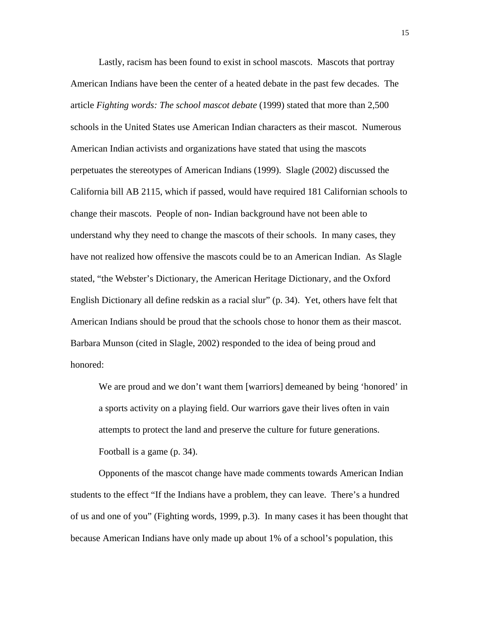Lastly, racism has been found to exist in school mascots. Mascots that portray American Indians have been the center of a heated debate in the past few decades. The article *Fighting words: The school mascot debate* (1999) stated that more than 2,500 schools in the United States use American Indian characters as their mascot. Numerous American Indian activists and organizations have stated that using the mascots perpetuates the stereotypes of American Indians (1999). Slagle (2002) discussed the California bill AB 2115, which if passed, would have required 181 Californian schools to change their mascots. People of non- Indian background have not been able to understand why they need to change the mascots of their schools. In many cases, they have not realized how offensive the mascots could be to an American Indian. As Slagle stated, "the Webster's Dictionary, the American Heritage Dictionary, and the Oxford English Dictionary all define redskin as a racial slur" (p. 34). Yet, others have felt that American Indians should be proud that the schools chose to honor them as their mascot. Barbara Munson (cited in Slagle, 2002) responded to the idea of being proud and honored:

We are proud and we don't want them [warriors] demeaned by being 'honored' in a sports activity on a playing field. Our warriors gave their lives often in vain attempts to protect the land and preserve the culture for future generations. Football is a game (p. 34).

Opponents of the mascot change have made comments towards American Indian students to the effect "If the Indians have a problem, they can leave. There's a hundred of us and one of you" (Fighting words, 1999, p.3). In many cases it has been thought that because American Indians have only made up about 1% of a school's population, this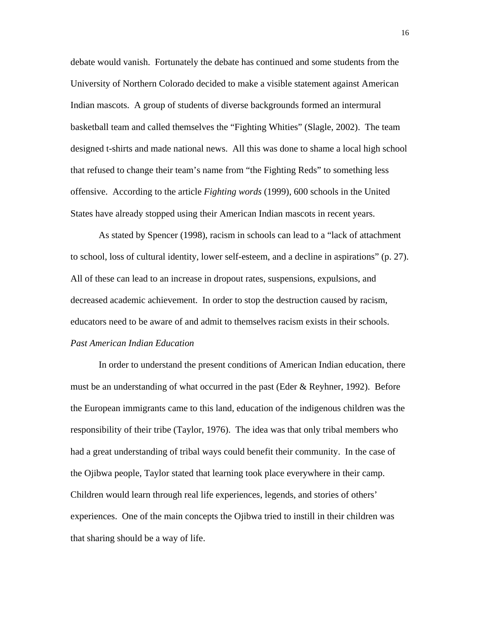debate would vanish. Fortunately the debate has continued and some students from the University of Northern Colorado decided to make a visible statement against American Indian mascots. A group of students of diverse backgrounds formed an intermural basketball team and called themselves the "Fighting Whities" (Slagle, 2002). The team designed t-shirts and made national news. All this was done to shame a local high school that refused to change their team's name from "the Fighting Reds" to something less offensive. According to the article *Fighting words* (1999), 600 schools in the United States have already stopped using their American Indian mascots in recent years.

 As stated by Spencer (1998), racism in schools can lead to a "lack of attachment to school, loss of cultural identity, lower self-esteem, and a decline in aspirations" (p. 27). All of these can lead to an increase in dropout rates, suspensions, expulsions, and decreased academic achievement. In order to stop the destruction caused by racism, educators need to be aware of and admit to themselves racism exists in their schools. *Past American Indian Education* 

 In order to understand the present conditions of American Indian education, there must be an understanding of what occurred in the past (Eder  $\&$  Reyhner, 1992). Before the European immigrants came to this land, education of the indigenous children was the responsibility of their tribe (Taylor, 1976). The idea was that only tribal members who had a great understanding of tribal ways could benefit their community. In the case of the Ojibwa people, Taylor stated that learning took place everywhere in their camp. Children would learn through real life experiences, legends, and stories of others' experiences. One of the main concepts the Ojibwa tried to instill in their children was that sharing should be a way of life.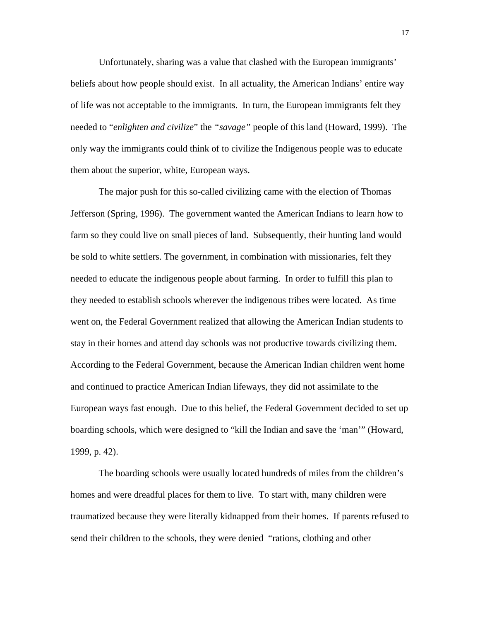Unfortunately, sharing was a value that clashed with the European immigrants' beliefs about how people should exist. In all actuality, the American Indians' entire way of life was not acceptable to the immigrants. In turn, the European immigrants felt they needed to "*enlighten and civilize*" the *"savage"* people of this land (Howard, 1999). The only way the immigrants could think of to civilize the Indigenous people was to educate them about the superior, white, European ways.

The major push for this so-called civilizing came with the election of Thomas Jefferson (Spring, 1996). The government wanted the American Indians to learn how to farm so they could live on small pieces of land. Subsequently, their hunting land would be sold to white settlers. The government, in combination with missionaries, felt they needed to educate the indigenous people about farming. In order to fulfill this plan to they needed to establish schools wherever the indigenous tribes were located. As time went on, the Federal Government realized that allowing the American Indian students to stay in their homes and attend day schools was not productive towards civilizing them. According to the Federal Government, because the American Indian children went home and continued to practice American Indian lifeways, they did not assimilate to the European ways fast enough. Due to this belief, the Federal Government decided to set up boarding schools, which were designed to "kill the Indian and save the 'man'" (Howard, 1999, p. 42).

The boarding schools were usually located hundreds of miles from the children's homes and were dreadful places for them to live. To start with, many children were traumatized because they were literally kidnapped from their homes. If parents refused to send their children to the schools, they were denied "rations, clothing and other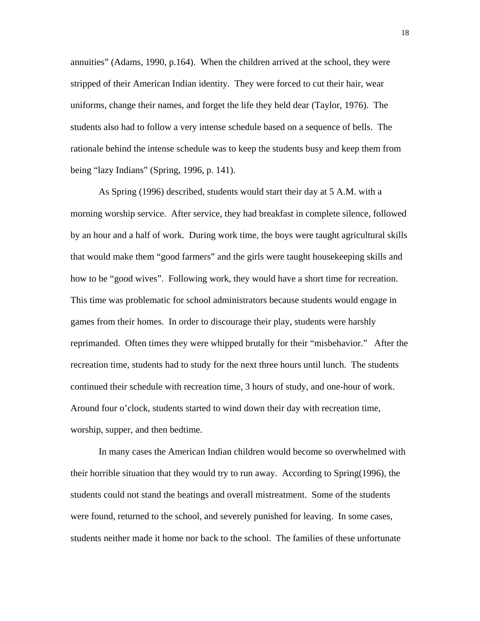annuities" (Adams, 1990, p.164). When the children arrived at the school, they were stripped of their American Indian identity. They were forced to cut their hair, wear uniforms, change their names, and forget the life they held dear (Taylor, 1976). The students also had to follow a very intense schedule based on a sequence of bells. The rationale behind the intense schedule was to keep the students busy and keep them from being "lazy Indians" (Spring, 1996, p. 141).

As Spring (1996) described, students would start their day at 5 A.M. with a morning worship service. After service, they had breakfast in complete silence, followed by an hour and a half of work. During work time, the boys were taught agricultural skills that would make them "good farmers" and the girls were taught housekeeping skills and how to be "good wives". Following work, they would have a short time for recreation. This time was problematic for school administrators because students would engage in games from their homes. In order to discourage their play, students were harshly reprimanded. Often times they were whipped brutally for their "misbehavior." After the recreation time, students had to study for the next three hours until lunch. The students continued their schedule with recreation time, 3 hours of study, and one-hour of work. Around four o'clock, students started to wind down their day with recreation time, worship, supper, and then bedtime.

In many cases the American Indian children would become so overwhelmed with their horrible situation that they would try to run away. According to Spring(1996), the students could not stand the beatings and overall mistreatment. Some of the students were found, returned to the school, and severely punished for leaving. In some cases, students neither made it home nor back to the school. The families of these unfortunate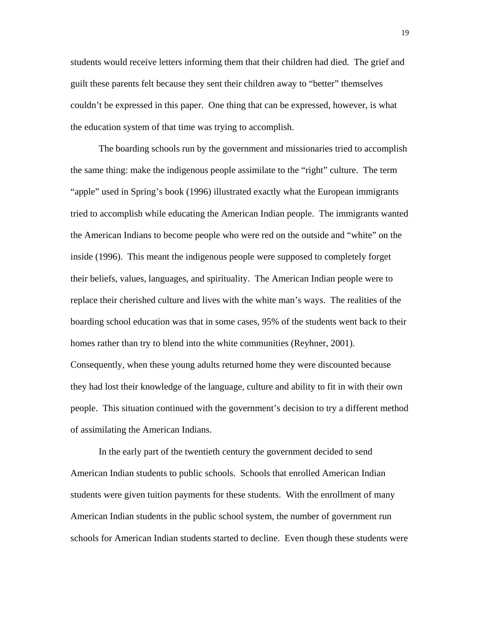students would receive letters informing them that their children had died. The grief and guilt these parents felt because they sent their children away to "better" themselves couldn't be expressed in this paper. One thing that can be expressed, however, is what the education system of that time was trying to accomplish.

The boarding schools run by the government and missionaries tried to accomplish the same thing: make the indigenous people assimilate to the "right" culture. The term "apple" used in Spring's book (1996) illustrated exactly what the European immigrants tried to accomplish while educating the American Indian people. The immigrants wanted the American Indians to become people who were red on the outside and "white" on the inside (1996). This meant the indigenous people were supposed to completely forget their beliefs, values, languages, and spirituality. The American Indian people were to replace their cherished culture and lives with the white man's ways. The realities of the boarding school education was that in some cases, 95% of the students went back to their homes rather than try to blend into the white communities (Reyhner, 2001). Consequently, when these young adults returned home they were discounted because they had lost their knowledge of the language, culture and ability to fit in with their own people. This situation continued with the government's decision to try a different method of assimilating the American Indians.

In the early part of the twentieth century the government decided to send American Indian students to public schools. Schools that enrolled American Indian students were given tuition payments for these students. With the enrollment of many American Indian students in the public school system, the number of government run schools for American Indian students started to decline. Even though these students were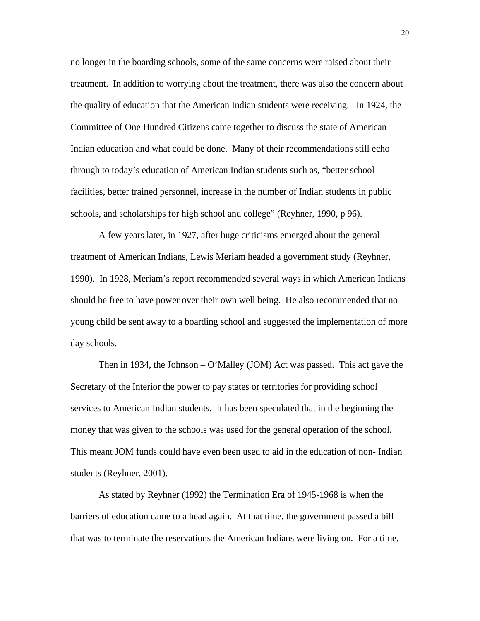no longer in the boarding schools, some of the same concerns were raised about their treatment. In addition to worrying about the treatment, there was also the concern about the quality of education that the American Indian students were receiving. In 1924, the Committee of One Hundred Citizens came together to discuss the state of American Indian education and what could be done. Many of their recommendations still echo through to today's education of American Indian students such as, "better school facilities, better trained personnel, increase in the number of Indian students in public schools, and scholarships for high school and college" (Reyhner, 1990, p 96).

A few years later, in 1927, after huge criticisms emerged about the general treatment of American Indians, Lewis Meriam headed a government study (Reyhner, 1990). In 1928, Meriam's report recommended several ways in which American Indians should be free to have power over their own well being. He also recommended that no young child be sent away to a boarding school and suggested the implementation of more day schools.

Then in 1934, the Johnson – O'Malley (JOM) Act was passed. This act gave the Secretary of the Interior the power to pay states or territories for providing school services to American Indian students. It has been speculated that in the beginning the money that was given to the schools was used for the general operation of the school. This meant JOM funds could have even been used to aid in the education of non- Indian students (Reyhner, 2001).

As stated by Reyhner (1992) the Termination Era of 1945-1968 is when the barriers of education came to a head again. At that time, the government passed a bill that was to terminate the reservations the American Indians were living on. For a time,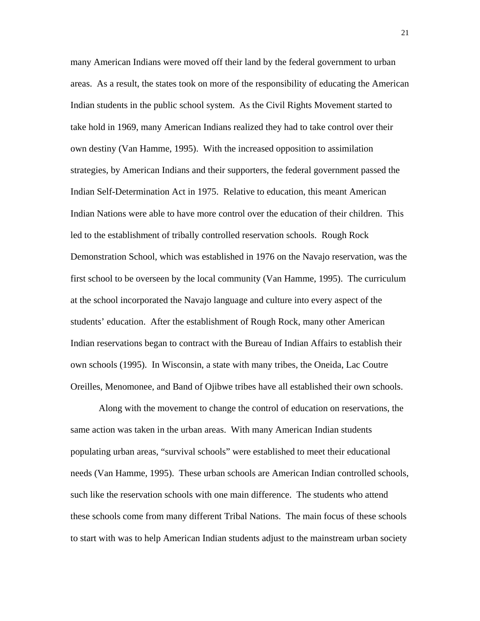many American Indians were moved off their land by the federal government to urban areas. As a result, the states took on more of the responsibility of educating the American Indian students in the public school system. As the Civil Rights Movement started to take hold in 1969, many American Indians realized they had to take control over their own destiny (Van Hamme, 1995). With the increased opposition to assimilation strategies, by American Indians and their supporters, the federal government passed the Indian Self-Determination Act in 1975. Relative to education, this meant American Indian Nations were able to have more control over the education of their children. This led to the establishment of tribally controlled reservation schools. Rough Rock Demonstration School, which was established in 1976 on the Navajo reservation, was the first school to be overseen by the local community (Van Hamme, 1995). The curriculum at the school incorporated the Navajo language and culture into every aspect of the students' education. After the establishment of Rough Rock, many other American Indian reservations began to contract with the Bureau of Indian Affairs to establish their own schools (1995). In Wisconsin, a state with many tribes, the Oneida, Lac Coutre Oreilles, Menomonee, and Band of Ojibwe tribes have all established their own schools.

Along with the movement to change the control of education on reservations, the same action was taken in the urban areas. With many American Indian students populating urban areas, "survival schools" were established to meet their educational needs (Van Hamme, 1995). These urban schools are American Indian controlled schools, such like the reservation schools with one main difference. The students who attend these schools come from many different Tribal Nations. The main focus of these schools to start with was to help American Indian students adjust to the mainstream urban society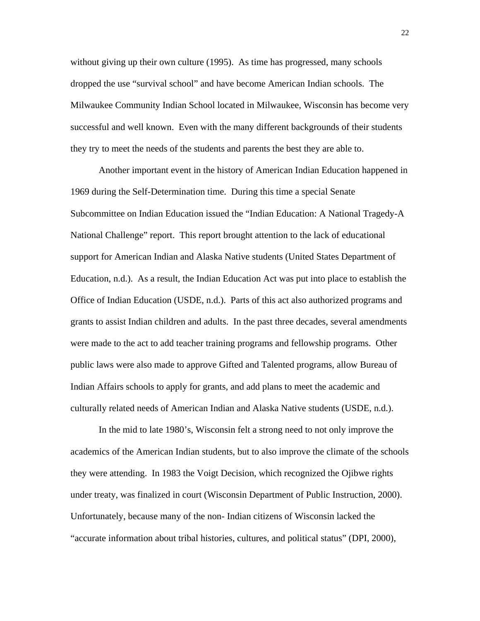without giving up their own culture (1995). As time has progressed, many schools dropped the use "survival school" and have become American Indian schools. The Milwaukee Community Indian School located in Milwaukee, Wisconsin has become very successful and well known. Even with the many different backgrounds of their students they try to meet the needs of the students and parents the best they are able to.

Another important event in the history of American Indian Education happened in 1969 during the Self-Determination time. During this time a special Senate Subcommittee on Indian Education issued the "Indian Education: A National Tragedy-A National Challenge" report. This report brought attention to the lack of educational support for American Indian and Alaska Native students (United States Department of Education, n.d.). As a result, the Indian Education Act was put into place to establish the Office of Indian Education (USDE, n.d.). Parts of this act also authorized programs and grants to assist Indian children and adults. In the past three decades, several amendments were made to the act to add teacher training programs and fellowship programs. Other public laws were also made to approve Gifted and Talented programs, allow Bureau of Indian Affairs schools to apply for grants, and add plans to meet the academic and culturally related needs of American Indian and Alaska Native students (USDE, n.d.).

 In the mid to late 1980's, Wisconsin felt a strong need to not only improve the academics of the American Indian students, but to also improve the climate of the schools they were attending. In 1983 the Voigt Decision, which recognized the Ojibwe rights under treaty, was finalized in court (Wisconsin Department of Public Instruction, 2000). Unfortunately, because many of the non- Indian citizens of Wisconsin lacked the "accurate information about tribal histories, cultures, and political status" (DPI, 2000),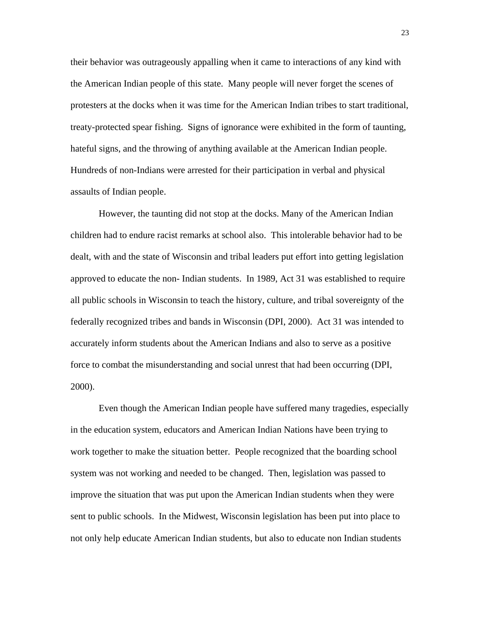their behavior was outrageously appalling when it came to interactions of any kind with the American Indian people of this state. Many people will never forget the scenes of protesters at the docks when it was time for the American Indian tribes to start traditional, treaty-protected spear fishing. Signs of ignorance were exhibited in the form of taunting, hateful signs, and the throwing of anything available at the American Indian people. Hundreds of non-Indians were arrested for their participation in verbal and physical assaults of Indian people.

 However, the taunting did not stop at the docks. Many of the American Indian children had to endure racist remarks at school also. This intolerable behavior had to be dealt, with and the state of Wisconsin and tribal leaders put effort into getting legislation approved to educate the non- Indian students. In 1989, Act 31 was established to require all public schools in Wisconsin to teach the history, culture, and tribal sovereignty of the federally recognized tribes and bands in Wisconsin (DPI, 2000). Act 31 was intended to accurately inform students about the American Indians and also to serve as a positive force to combat the misunderstanding and social unrest that had been occurring (DPI, 2000).

Even though the American Indian people have suffered many tragedies, especially in the education system, educators and American Indian Nations have been trying to work together to make the situation better. People recognized that the boarding school system was not working and needed to be changed. Then, legislation was passed to improve the situation that was put upon the American Indian students when they were sent to public schools. In the Midwest, Wisconsin legislation has been put into place to not only help educate American Indian students, but also to educate non Indian students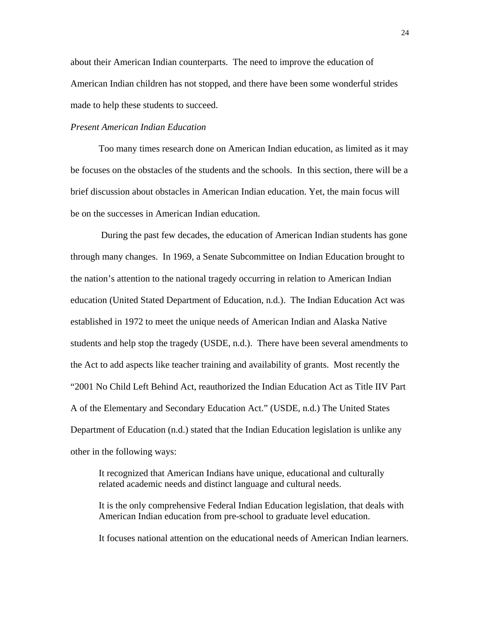about their American Indian counterparts. The need to improve the education of American Indian children has not stopped, and there have been some wonderful strides made to help these students to succeed.

## *Present American Indian Education*

Too many times research done on American Indian education, as limited as it may be focuses on the obstacles of the students and the schools. In this section, there will be a brief discussion about obstacles in American Indian education. Yet, the main focus will be on the successes in American Indian education.

 During the past few decades, the education of American Indian students has gone through many changes. In 1969, a Senate Subcommittee on Indian Education brought to the nation's attention to the national tragedy occurring in relation to American Indian education (United Stated Department of Education, n.d.). The Indian Education Act was established in 1972 to meet the unique needs of American Indian and Alaska Native students and help stop the tragedy (USDE, n.d.). There have been several amendments to the Act to add aspects like teacher training and availability of grants. Most recently the "2001 No Child Left Behind Act, reauthorized the Indian Education Act as Title IIV Part A of the Elementary and Secondary Education Act." (USDE, n.d.) The United States Department of Education (n.d.) stated that the Indian Education legislation is unlike any other in the following ways:

It recognized that American Indians have unique, educational and culturally related academic needs and distinct language and cultural needs.

It is the only comprehensive Federal Indian Education legislation, that deals with American Indian education from pre-school to graduate level education.

It focuses national attention on the educational needs of American Indian learners.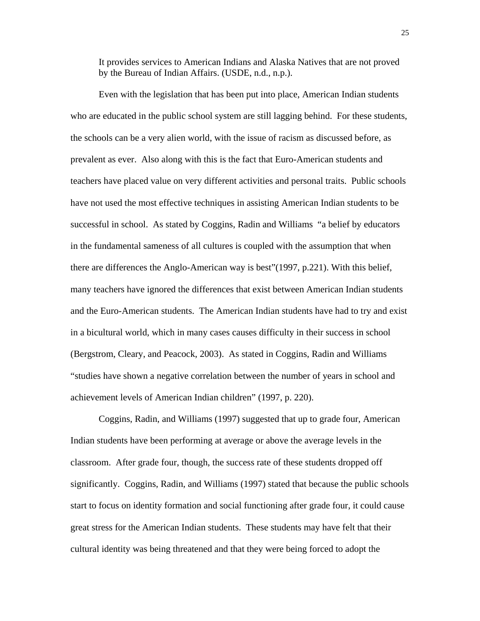It provides services to American Indians and Alaska Natives that are not proved by the Bureau of Indian Affairs. (USDE, n.d., n.p.).

Even with the legislation that has been put into place, American Indian students who are educated in the public school system are still lagging behind. For these students, the schools can be a very alien world, with the issue of racism as discussed before, as prevalent as ever. Also along with this is the fact that Euro-American students and teachers have placed value on very different activities and personal traits. Public schools have not used the most effective techniques in assisting American Indian students to be successful in school. As stated by Coggins, Radin and Williams "a belief by educators in the fundamental sameness of all cultures is coupled with the assumption that when there are differences the Anglo-American way is best"(1997, p.221). With this belief, many teachers have ignored the differences that exist between American Indian students and the Euro-American students. The American Indian students have had to try and exist in a bicultural world, which in many cases causes difficulty in their success in school (Bergstrom, Cleary, and Peacock, 2003). As stated in Coggins, Radin and Williams "studies have shown a negative correlation between the number of years in school and achievement levels of American Indian children" (1997, p. 220).

Coggins, Radin, and Williams (1997) suggested that up to grade four, American Indian students have been performing at average or above the average levels in the classroom. After grade four, though, the success rate of these students dropped off significantly. Coggins, Radin, and Williams (1997) stated that because the public schools start to focus on identity formation and social functioning after grade four, it could cause great stress for the American Indian students. These students may have felt that their cultural identity was being threatened and that they were being forced to adopt the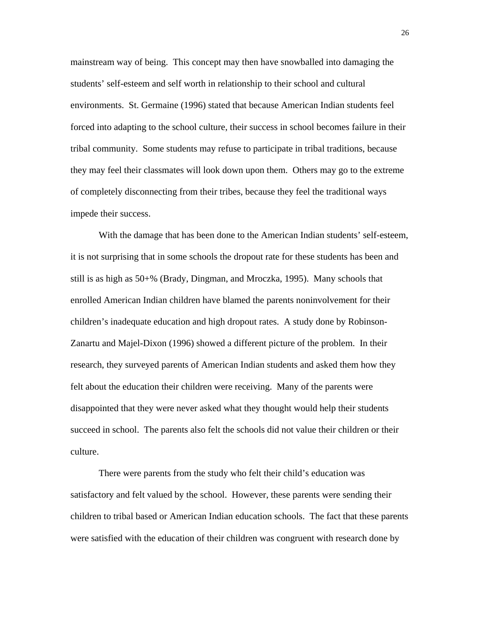mainstream way of being. This concept may then have snowballed into damaging the students' self-esteem and self worth in relationship to their school and cultural environments. St. Germaine (1996) stated that because American Indian students feel forced into adapting to the school culture, their success in school becomes failure in their tribal community. Some students may refuse to participate in tribal traditions, because they may feel their classmates will look down upon them. Others may go to the extreme of completely disconnecting from their tribes, because they feel the traditional ways impede their success.

With the damage that has been done to the American Indian students' self-esteem, it is not surprising that in some schools the dropout rate for these students has been and still is as high as 50+% (Brady, Dingman, and Mroczka, 1995). Many schools that enrolled American Indian children have blamed the parents noninvolvement for their children's inadequate education and high dropout rates. A study done by Robinson-Zanartu and Majel-Dixon (1996) showed a different picture of the problem. In their research, they surveyed parents of American Indian students and asked them how they felt about the education their children were receiving. Many of the parents were disappointed that they were never asked what they thought would help their students succeed in school. The parents also felt the schools did not value their children or their culture.

There were parents from the study who felt their child's education was satisfactory and felt valued by the school. However, these parents were sending their children to tribal based or American Indian education schools. The fact that these parents were satisfied with the education of their children was congruent with research done by

<u>26</u>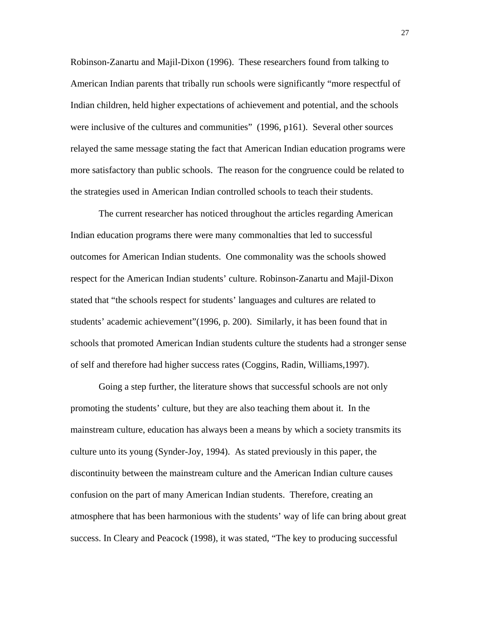Robinson-Zanartu and Majil-Dixon (1996). These researchers found from talking to American Indian parents that tribally run schools were significantly "more respectful of Indian children, held higher expectations of achievement and potential, and the schools were inclusive of the cultures and communities" (1996, p161). Several other sources relayed the same message stating the fact that American Indian education programs were more satisfactory than public schools. The reason for the congruence could be related to the strategies used in American Indian controlled schools to teach their students.

The current researcher has noticed throughout the articles regarding American Indian education programs there were many commonalties that led to successful outcomes for American Indian students. One commonality was the schools showed respect for the American Indian students' culture. Robinson-Zanartu and Majil-Dixon stated that "the schools respect for students' languages and cultures are related to students' academic achievement"(1996, p. 200). Similarly, it has been found that in schools that promoted American Indian students culture the students had a stronger sense of self and therefore had higher success rates (Coggins, Radin, Williams,1997).

Going a step further, the literature shows that successful schools are not only promoting the students' culture, but they are also teaching them about it. In the mainstream culture, education has always been a means by which a society transmits its culture unto its young (Synder-Joy, 1994). As stated previously in this paper, the discontinuity between the mainstream culture and the American Indian culture causes confusion on the part of many American Indian students. Therefore, creating an atmosphere that has been harmonious with the students' way of life can bring about great success. In Cleary and Peacock (1998), it was stated, "The key to producing successful

27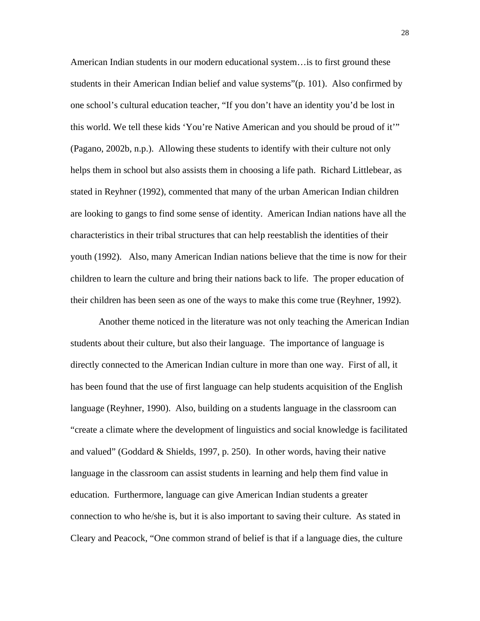American Indian students in our modern educational system…is to first ground these students in their American Indian belief and value systems"(p. 101). Also confirmed by one school's cultural education teacher, "If you don't have an identity you'd be lost in this world. We tell these kids 'You're Native American and you should be proud of it'" (Pagano, 2002b, n.p.). Allowing these students to identify with their culture not only helps them in school but also assists them in choosing a life path. Richard Littlebear, as stated in Reyhner (1992), commented that many of the urban American Indian children are looking to gangs to find some sense of identity. American Indian nations have all the characteristics in their tribal structures that can help reestablish the identities of their youth (1992). Also, many American Indian nations believe that the time is now for their children to learn the culture and bring their nations back to life. The proper education of their children has been seen as one of the ways to make this come true (Reyhner, 1992).

Another theme noticed in the literature was not only teaching the American Indian students about their culture, but also their language. The importance of language is directly connected to the American Indian culture in more than one way. First of all, it has been found that the use of first language can help students acquisition of the English language (Reyhner, 1990). Also, building on a students language in the classroom can "create a climate where the development of linguistics and social knowledge is facilitated and valued" (Goddard & Shields, 1997, p. 250). In other words, having their native language in the classroom can assist students in learning and help them find value in education. Furthermore, language can give American Indian students a greater connection to who he/she is, but it is also important to saving their culture. As stated in Cleary and Peacock, "One common strand of belief is that if a language dies, the culture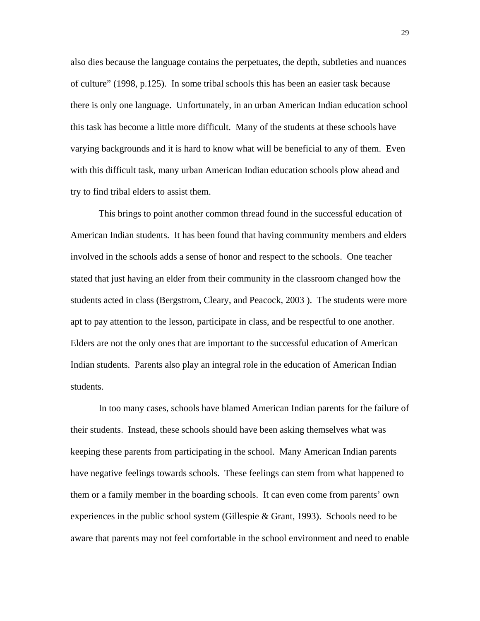also dies because the language contains the perpetuates, the depth, subtleties and nuances of culture" (1998, p.125). In some tribal schools this has been an easier task because there is only one language. Unfortunately, in an urban American Indian education school this task has become a little more difficult. Many of the students at these schools have varying backgrounds and it is hard to know what will be beneficial to any of them. Even with this difficult task, many urban American Indian education schools plow ahead and try to find tribal elders to assist them.

This brings to point another common thread found in the successful education of American Indian students. It has been found that having community members and elders involved in the schools adds a sense of honor and respect to the schools. One teacher stated that just having an elder from their community in the classroom changed how the students acted in class (Bergstrom, Cleary, and Peacock, 2003 ). The students were more apt to pay attention to the lesson, participate in class, and be respectful to one another. Elders are not the only ones that are important to the successful education of American Indian students. Parents also play an integral role in the education of American Indian students.

In too many cases, schools have blamed American Indian parents for the failure of their students. Instead, these schools should have been asking themselves what was keeping these parents from participating in the school. Many American Indian parents have negative feelings towards schools. These feelings can stem from what happened to them or a family member in the boarding schools. It can even come from parents' own experiences in the public school system (Gillespie  $& Grant, 1993)$ . Schools need to be aware that parents may not feel comfortable in the school environment and need to enable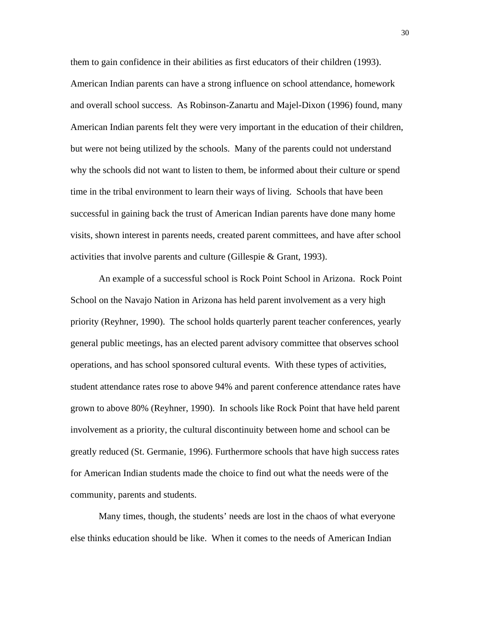them to gain confidence in their abilities as first educators of their children (1993). American Indian parents can have a strong influence on school attendance, homework and overall school success. As Robinson-Zanartu and Majel-Dixon (1996) found, many American Indian parents felt they were very important in the education of their children, but were not being utilized by the schools. Many of the parents could not understand why the schools did not want to listen to them, be informed about their culture or spend time in the tribal environment to learn their ways of living. Schools that have been successful in gaining back the trust of American Indian parents have done many home visits, shown interest in parents needs, created parent committees, and have after school activities that involve parents and culture (Gillespie & Grant, 1993).

An example of a successful school is Rock Point School in Arizona. Rock Point School on the Navajo Nation in Arizona has held parent involvement as a very high priority (Reyhner, 1990). The school holds quarterly parent teacher conferences, yearly general public meetings, has an elected parent advisory committee that observes school operations, and has school sponsored cultural events. With these types of activities, student attendance rates rose to above 94% and parent conference attendance rates have grown to above 80% (Reyhner, 1990). In schools like Rock Point that have held parent involvement as a priority, the cultural discontinuity between home and school can be greatly reduced (St. Germanie, 1996). Furthermore schools that have high success rates for American Indian students made the choice to find out what the needs were of the community, parents and students.

Many times, though, the students' needs are lost in the chaos of what everyone else thinks education should be like. When it comes to the needs of American Indian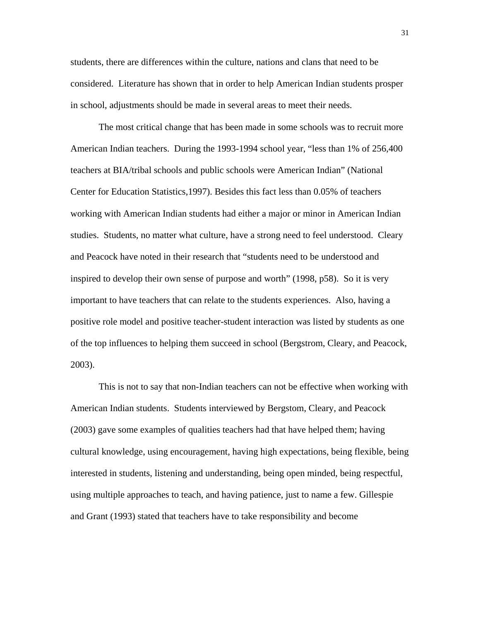students, there are differences within the culture, nations and clans that need to be considered. Literature has shown that in order to help American Indian students prosper in school, adjustments should be made in several areas to meet their needs.

The most critical change that has been made in some schools was to recruit more American Indian teachers. During the 1993-1994 school year, "less than 1% of 256,400 teachers at BIA/tribal schools and public schools were American Indian" (National Center for Education Statistics,1997). Besides this fact less than 0.05% of teachers working with American Indian students had either a major or minor in American Indian studies. Students, no matter what culture, have a strong need to feel understood. Cleary and Peacock have noted in their research that "students need to be understood and inspired to develop their own sense of purpose and worth" (1998, p58). So it is very important to have teachers that can relate to the students experiences. Also, having a positive role model and positive teacher-student interaction was listed by students as one of the top influences to helping them succeed in school (Bergstrom, Cleary, and Peacock, 2003).

This is not to say that non-Indian teachers can not be effective when working with American Indian students. Students interviewed by Bergstom, Cleary, and Peacock (2003) gave some examples of qualities teachers had that have helped them; having cultural knowledge, using encouragement, having high expectations, being flexible, being interested in students, listening and understanding, being open minded, being respectful, using multiple approaches to teach, and having patience, just to name a few. Gillespie and Grant (1993) stated that teachers have to take responsibility and become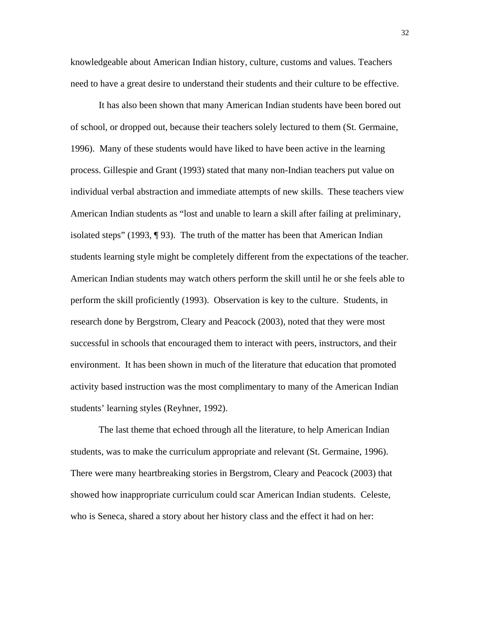knowledgeable about American Indian history, culture, customs and values. Teachers need to have a great desire to understand their students and their culture to be effective.

It has also been shown that many American Indian students have been bored out of school, or dropped out, because their teachers solely lectured to them (St. Germaine, 1996). Many of these students would have liked to have been active in the learning process. Gillespie and Grant (1993) stated that many non-Indian teachers put value on individual verbal abstraction and immediate attempts of new skills. These teachers view American Indian students as "lost and unable to learn a skill after failing at preliminary, isolated steps" (1993, ¶ 93). The truth of the matter has been that American Indian students learning style might be completely different from the expectations of the teacher. American Indian students may watch others perform the skill until he or she feels able to perform the skill proficiently (1993). Observation is key to the culture. Students, in research done by Bergstrom, Cleary and Peacock (2003), noted that they were most successful in schools that encouraged them to interact with peers, instructors, and their environment. It has been shown in much of the literature that education that promoted activity based instruction was the most complimentary to many of the American Indian students' learning styles (Reyhner, 1992).

The last theme that echoed through all the literature, to help American Indian students, was to make the curriculum appropriate and relevant (St. Germaine, 1996). There were many heartbreaking stories in Bergstrom, Cleary and Peacock (2003) that showed how inappropriate curriculum could scar American Indian students. Celeste, who is Seneca, shared a story about her history class and the effect it had on her:

32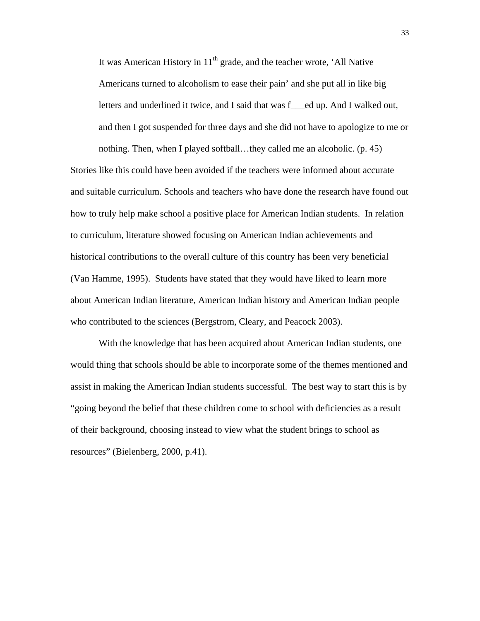It was American History in  $11<sup>th</sup>$  grade, and the teacher wrote, 'All Native Americans turned to alcoholism to ease their pain' and she put all in like big letters and underlined it twice, and I said that was fed up. And I walked out, and then I got suspended for three days and she did not have to apologize to me or nothing. Then, when I played softball…they called me an alcoholic. (p. 45) Stories like this could have been avoided if the teachers were informed about accurate

and suitable curriculum. Schools and teachers who have done the research have found out how to truly help make school a positive place for American Indian students. In relation to curriculum, literature showed focusing on American Indian achievements and historical contributions to the overall culture of this country has been very beneficial (Van Hamme, 1995). Students have stated that they would have liked to learn more about American Indian literature, American Indian history and American Indian people who contributed to the sciences (Bergstrom, Cleary, and Peacock 2003).

 With the knowledge that has been acquired about American Indian students, one would thing that schools should be able to incorporate some of the themes mentioned and assist in making the American Indian students successful. The best way to start this is by "going beyond the belief that these children come to school with deficiencies as a result of their background, choosing instead to view what the student brings to school as resources" (Bielenberg, 2000, p.41).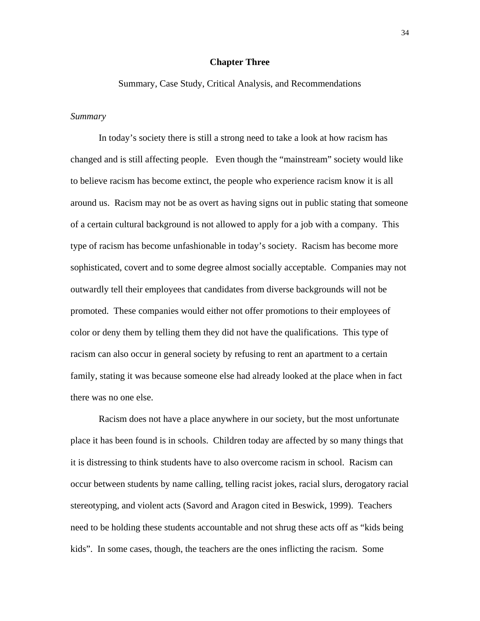## **Chapter Three**

Summary, Case Study, Critical Analysis, and Recommendations

#### *Summary*

In today's society there is still a strong need to take a look at how racism has changed and is still affecting people. Even though the "mainstream" society would like to believe racism has become extinct, the people who experience racism know it is all around us. Racism may not be as overt as having signs out in public stating that someone of a certain cultural background is not allowed to apply for a job with a company. This type of racism has become unfashionable in today's society. Racism has become more sophisticated, covert and to some degree almost socially acceptable. Companies may not outwardly tell their employees that candidates from diverse backgrounds will not be promoted. These companies would either not offer promotions to their employees of color or deny them by telling them they did not have the qualifications. This type of racism can also occur in general society by refusing to rent an apartment to a certain family, stating it was because someone else had already looked at the place when in fact there was no one else.

 Racism does not have a place anywhere in our society, but the most unfortunate place it has been found is in schools. Children today are affected by so many things that it is distressing to think students have to also overcome racism in school. Racism can occur between students by name calling, telling racist jokes, racial slurs, derogatory racial stereotyping, and violent acts (Savord and Aragon cited in Beswick, 1999). Teachers need to be holding these students accountable and not shrug these acts off as "kids being kids". In some cases, though, the teachers are the ones inflicting the racism. Some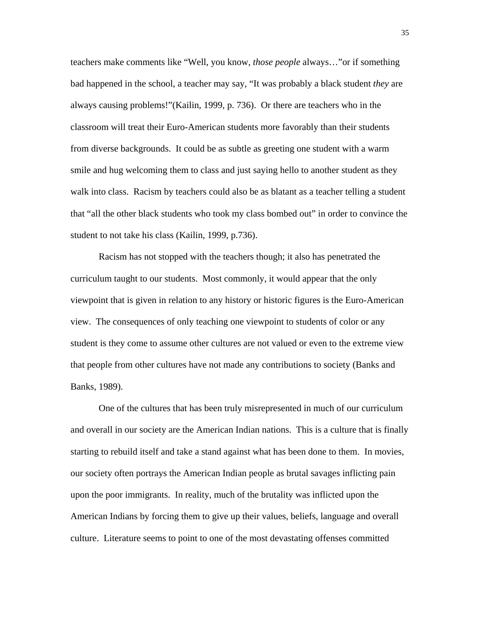teachers make comments like "Well, you know, *those people* always…"or if something bad happened in the school, a teacher may say, "It was probably a black student *they* are always causing problems!"(Kailin, 1999, p. 736). Or there are teachers who in the classroom will treat their Euro-American students more favorably than their students from diverse backgrounds. It could be as subtle as greeting one student with a warm smile and hug welcoming them to class and just saying hello to another student as they walk into class. Racism by teachers could also be as blatant as a teacher telling a student that "all the other black students who took my class bombed out" in order to convince the student to not take his class (Kailin, 1999, p.736).

 Racism has not stopped with the teachers though; it also has penetrated the curriculum taught to our students. Most commonly, it would appear that the only viewpoint that is given in relation to any history or historic figures is the Euro-American view. The consequences of only teaching one viewpoint to students of color or any student is they come to assume other cultures are not valued or even to the extreme view that people from other cultures have not made any contributions to society (Banks and Banks, 1989).

 One of the cultures that has been truly misrepresented in much of our curriculum and overall in our society are the American Indian nations. This is a culture that is finally starting to rebuild itself and take a stand against what has been done to them. In movies, our society often portrays the American Indian people as brutal savages inflicting pain upon the poor immigrants. In reality, much of the brutality was inflicted upon the American Indians by forcing them to give up their values, beliefs, language and overall culture. Literature seems to point to one of the most devastating offenses committed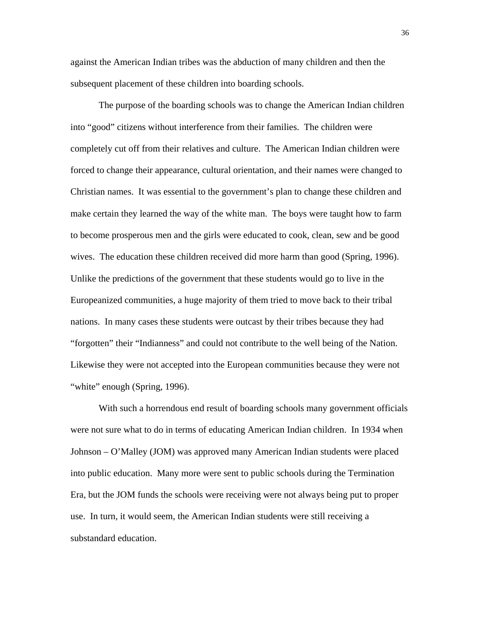against the American Indian tribes was the abduction of many children and then the subsequent placement of these children into boarding schools.

 The purpose of the boarding schools was to change the American Indian children into "good" citizens without interference from their families. The children were completely cut off from their relatives and culture. The American Indian children were forced to change their appearance, cultural orientation, and their names were changed to Christian names. It was essential to the government's plan to change these children and make certain they learned the way of the white man. The boys were taught how to farm to become prosperous men and the girls were educated to cook, clean, sew and be good wives. The education these children received did more harm than good (Spring, 1996). Unlike the predictions of the government that these students would go to live in the Europeanized communities, a huge majority of them tried to move back to their tribal nations. In many cases these students were outcast by their tribes because they had "forgotten" their "Indianness" and could not contribute to the well being of the Nation. Likewise they were not accepted into the European communities because they were not "white" enough (Spring, 1996).

 With such a horrendous end result of boarding schools many government officials were not sure what to do in terms of educating American Indian children. In 1934 when Johnson – O'Malley (JOM) was approved many American Indian students were placed into public education. Many more were sent to public schools during the Termination Era, but the JOM funds the schools were receiving were not always being put to proper use. In turn, it would seem, the American Indian students were still receiving a substandard education.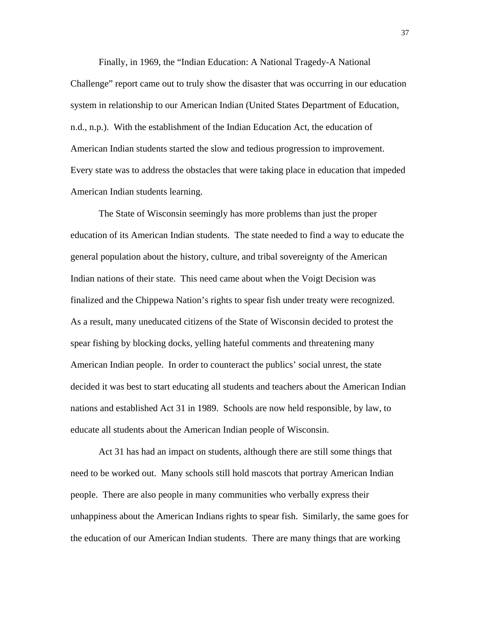Finally, in 1969, the "Indian Education: A National Tragedy-A National Challenge" report came out to truly show the disaster that was occurring in our education system in relationship to our American Indian (United States Department of Education, n.d., n.p.). With the establishment of the Indian Education Act, the education of American Indian students started the slow and tedious progression to improvement. Every state was to address the obstacles that were taking place in education that impeded American Indian students learning.

 The State of Wisconsin seemingly has more problems than just the proper education of its American Indian students. The state needed to find a way to educate the general population about the history, culture, and tribal sovereignty of the American Indian nations of their state. This need came about when the Voigt Decision was finalized and the Chippewa Nation's rights to spear fish under treaty were recognized. As a result, many uneducated citizens of the State of Wisconsin decided to protest the spear fishing by blocking docks, yelling hateful comments and threatening many American Indian people. In order to counteract the publics' social unrest, the state decided it was best to start educating all students and teachers about the American Indian nations and established Act 31 in 1989. Schools are now held responsible, by law, to educate all students about the American Indian people of Wisconsin.

 Act 31 has had an impact on students, although there are still some things that need to be worked out. Many schools still hold mascots that portray American Indian people. There are also people in many communities who verbally express their unhappiness about the American Indians rights to spear fish. Similarly, the same goes for the education of our American Indian students. There are many things that are working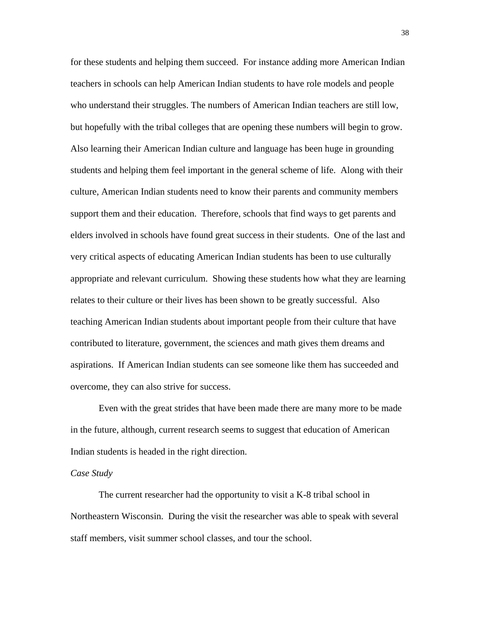for these students and helping them succeed. For instance adding more American Indian teachers in schools can help American Indian students to have role models and people who understand their struggles. The numbers of American Indian teachers are still low, but hopefully with the tribal colleges that are opening these numbers will begin to grow. Also learning their American Indian culture and language has been huge in grounding students and helping them feel important in the general scheme of life. Along with their culture, American Indian students need to know their parents and community members support them and their education. Therefore, schools that find ways to get parents and elders involved in schools have found great success in their students. One of the last and very critical aspects of educating American Indian students has been to use culturally appropriate and relevant curriculum. Showing these students how what they are learning relates to their culture or their lives has been shown to be greatly successful. Also teaching American Indian students about important people from their culture that have contributed to literature, government, the sciences and math gives them dreams and aspirations. If American Indian students can see someone like them has succeeded and overcome, they can also strive for success.

Even with the great strides that have been made there are many more to be made in the future, although, current research seems to suggest that education of American Indian students is headed in the right direction.

#### *Case Study*

 The current researcher had the opportunity to visit a K-8 tribal school in Northeastern Wisconsin. During the visit the researcher was able to speak with several staff members, visit summer school classes, and tour the school.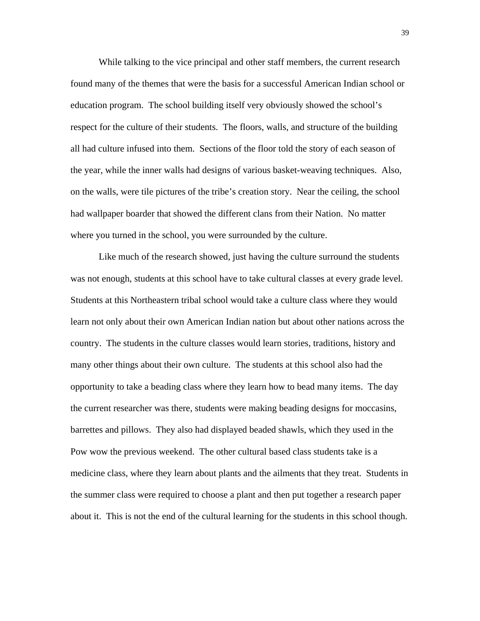While talking to the vice principal and other staff members, the current research found many of the themes that were the basis for a successful American Indian school or education program. The school building itself very obviously showed the school's respect for the culture of their students. The floors, walls, and structure of the building all had culture infused into them. Sections of the floor told the story of each season of the year, while the inner walls had designs of various basket-weaving techniques. Also, on the walls, were tile pictures of the tribe's creation story. Near the ceiling, the school had wallpaper boarder that showed the different clans from their Nation. No matter where you turned in the school, you were surrounded by the culture.

 Like much of the research showed, just having the culture surround the students was not enough, students at this school have to take cultural classes at every grade level. Students at this Northeastern tribal school would take a culture class where they would learn not only about their own American Indian nation but about other nations across the country. The students in the culture classes would learn stories, traditions, history and many other things about their own culture. The students at this school also had the opportunity to take a beading class where they learn how to bead many items. The day the current researcher was there, students were making beading designs for moccasins, barrettes and pillows. They also had displayed beaded shawls, which they used in the Pow wow the previous weekend. The other cultural based class students take is a medicine class, where they learn about plants and the ailments that they treat. Students in the summer class were required to choose a plant and then put together a research paper about it. This is not the end of the cultural learning for the students in this school though.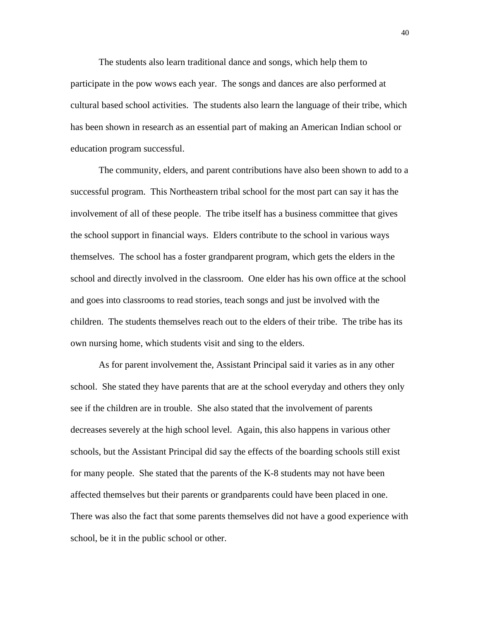The students also learn traditional dance and songs, which help them to participate in the pow wows each year. The songs and dances are also performed at cultural based school activities. The students also learn the language of their tribe, which has been shown in research as an essential part of making an American Indian school or education program successful.

 The community, elders, and parent contributions have also been shown to add to a successful program. This Northeastern tribal school for the most part can say it has the involvement of all of these people. The tribe itself has a business committee that gives the school support in financial ways. Elders contribute to the school in various ways themselves. The school has a foster grandparent program, which gets the elders in the school and directly involved in the classroom. One elder has his own office at the school and goes into classrooms to read stories, teach songs and just be involved with the children. The students themselves reach out to the elders of their tribe. The tribe has its own nursing home, which students visit and sing to the elders.

 As for parent involvement the, Assistant Principal said it varies as in any other school. She stated they have parents that are at the school everyday and others they only see if the children are in trouble. She also stated that the involvement of parents decreases severely at the high school level. Again, this also happens in various other schools, but the Assistant Principal did say the effects of the boarding schools still exist for many people. She stated that the parents of the K-8 students may not have been affected themselves but their parents or grandparents could have been placed in one. There was also the fact that some parents themselves did not have a good experience with school, be it in the public school or other.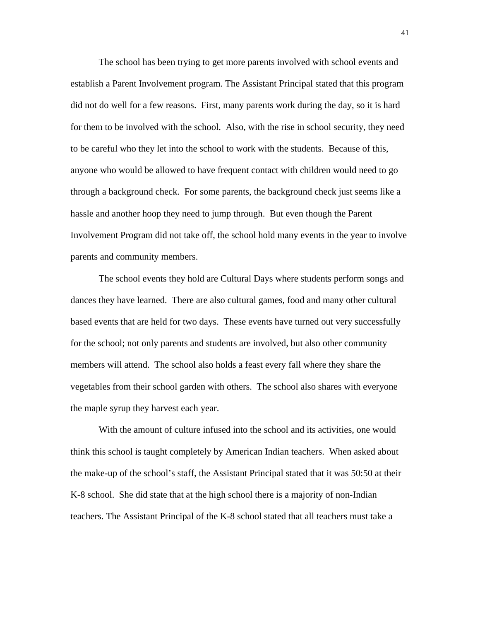The school has been trying to get more parents involved with school events and establish a Parent Involvement program. The Assistant Principal stated that this program did not do well for a few reasons. First, many parents work during the day, so it is hard for them to be involved with the school. Also, with the rise in school security, they need to be careful who they let into the school to work with the students. Because of this, anyone who would be allowed to have frequent contact with children would need to go through a background check. For some parents, the background check just seems like a hassle and another hoop they need to jump through. But even though the Parent Involvement Program did not take off, the school hold many events in the year to involve parents and community members.

The school events they hold are Cultural Days where students perform songs and dances they have learned. There are also cultural games, food and many other cultural based events that are held for two days. These events have turned out very successfully for the school; not only parents and students are involved, but also other community members will attend. The school also holds a feast every fall where they share the vegetables from their school garden with others. The school also shares with everyone the maple syrup they harvest each year.

With the amount of culture infused into the school and its activities, one would think this school is taught completely by American Indian teachers. When asked about the make-up of the school's staff, the Assistant Principal stated that it was 50:50 at their K-8 school. She did state that at the high school there is a majority of non-Indian teachers. The Assistant Principal of the K-8 school stated that all teachers must take a

41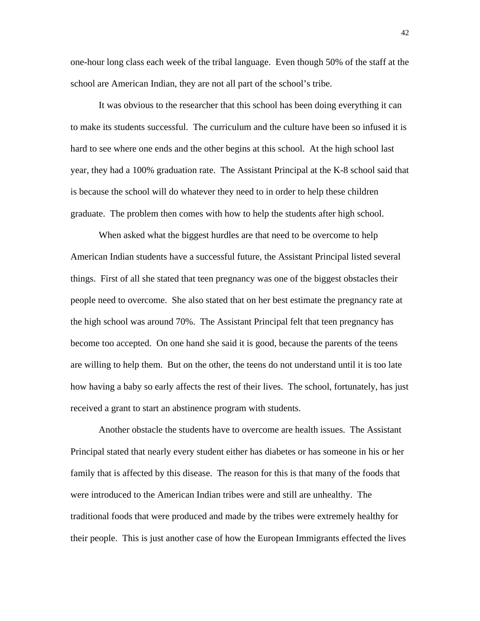one-hour long class each week of the tribal language. Even though 50% of the staff at the school are American Indian, they are not all part of the school's tribe.

It was obvious to the researcher that this school has been doing everything it can to make its students successful. The curriculum and the culture have been so infused it is hard to see where one ends and the other begins at this school. At the high school last year, they had a 100% graduation rate. The Assistant Principal at the K-8 school said that is because the school will do whatever they need to in order to help these children graduate. The problem then comes with how to help the students after high school.

 When asked what the biggest hurdles are that need to be overcome to help American Indian students have a successful future, the Assistant Principal listed several things. First of all she stated that teen pregnancy was one of the biggest obstacles their people need to overcome. She also stated that on her best estimate the pregnancy rate at the high school was around 70%. The Assistant Principal felt that teen pregnancy has become too accepted. On one hand she said it is good, because the parents of the teens are willing to help them. But on the other, the teens do not understand until it is too late how having a baby so early affects the rest of their lives. The school, fortunately, has just received a grant to start an abstinence program with students.

 Another obstacle the students have to overcome are health issues. The Assistant Principal stated that nearly every student either has diabetes or has someone in his or her family that is affected by this disease. The reason for this is that many of the foods that were introduced to the American Indian tribes were and still are unhealthy. The traditional foods that were produced and made by the tribes were extremely healthy for their people. This is just another case of how the European Immigrants effected the lives

42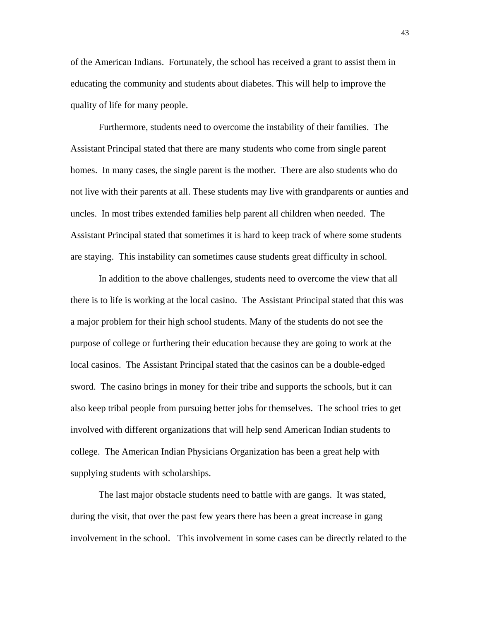of the American Indians. Fortunately, the school has received a grant to assist them in educating the community and students about diabetes. This will help to improve the quality of life for many people.

 Furthermore, students need to overcome the instability of their families. The Assistant Principal stated that there are many students who come from single parent homes. In many cases, the single parent is the mother. There are also students who do not live with their parents at all. These students may live with grandparents or aunties and uncles. In most tribes extended families help parent all children when needed. The Assistant Principal stated that sometimes it is hard to keep track of where some students are staying. This instability can sometimes cause students great difficulty in school.

In addition to the above challenges, students need to overcome the view that all there is to life is working at the local casino. The Assistant Principal stated that this was a major problem for their high school students. Many of the students do not see the purpose of college or furthering their education because they are going to work at the local casinos. The Assistant Principal stated that the casinos can be a double-edged sword. The casino brings in money for their tribe and supports the schools, but it can also keep tribal people from pursuing better jobs for themselves. The school tries to get involved with different organizations that will help send American Indian students to college. The American Indian Physicians Organization has been a great help with supplying students with scholarships.

 The last major obstacle students need to battle with are gangs. It was stated, during the visit, that over the past few years there has been a great increase in gang involvement in the school. This involvement in some cases can be directly related to the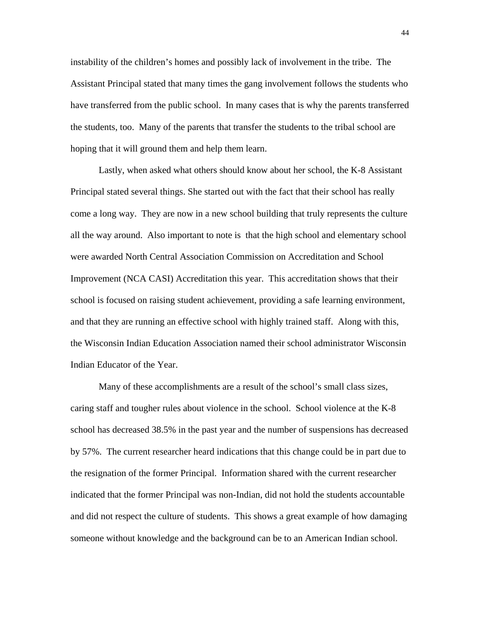instability of the children's homes and possibly lack of involvement in the tribe. The Assistant Principal stated that many times the gang involvement follows the students who have transferred from the public school. In many cases that is why the parents transferred the students, too. Many of the parents that transfer the students to the tribal school are hoping that it will ground them and help them learn.

 Lastly, when asked what others should know about her school, the K-8 Assistant Principal stated several things. She started out with the fact that their school has really come a long way. They are now in a new school building that truly represents the culture all the way around. Also important to note is that the high school and elementary school were awarded North Central Association Commission on Accreditation and School Improvement (NCA CASI) Accreditation this year. This accreditation shows that their school is focused on raising student achievement, providing a safe learning environment, and that they are running an effective school with highly trained staff. Along with this, the Wisconsin Indian Education Association named their school administrator Wisconsin Indian Educator of the Year.

 Many of these accomplishments are a result of the school's small class sizes, caring staff and tougher rules about violence in the school. School violence at the K-8 school has decreased 38.5% in the past year and the number of suspensions has decreased by 57%. The current researcher heard indications that this change could be in part due to the resignation of the former Principal. Information shared with the current researcher indicated that the former Principal was non-Indian, did not hold the students accountable and did not respect the culture of students. This shows a great example of how damaging someone without knowledge and the background can be to an American Indian school.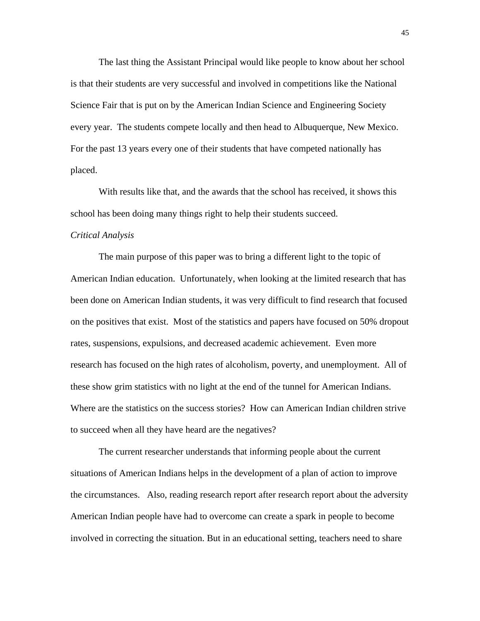The last thing the Assistant Principal would like people to know about her school is that their students are very successful and involved in competitions like the National Science Fair that is put on by the American Indian Science and Engineering Society every year. The students compete locally and then head to Albuquerque, New Mexico. For the past 13 years every one of their students that have competed nationally has placed.

With results like that, and the awards that the school has received, it shows this school has been doing many things right to help their students succeed.

#### *Critical Analysis*

 The main purpose of this paper was to bring a different light to the topic of American Indian education. Unfortunately, when looking at the limited research that has been done on American Indian students, it was very difficult to find research that focused on the positives that exist. Most of the statistics and papers have focused on 50% dropout rates, suspensions, expulsions, and decreased academic achievement. Even more research has focused on the high rates of alcoholism, poverty, and unemployment. All of these show grim statistics with no light at the end of the tunnel for American Indians. Where are the statistics on the success stories? How can American Indian children strive to succeed when all they have heard are the negatives?

 The current researcher understands that informing people about the current situations of American Indians helps in the development of a plan of action to improve the circumstances. Also, reading research report after research report about the adversity American Indian people have had to overcome can create a spark in people to become involved in correcting the situation. But in an educational setting, teachers need to share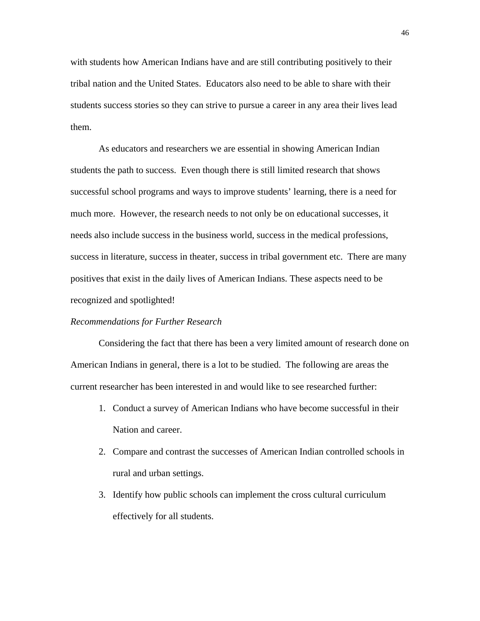with students how American Indians have and are still contributing positively to their tribal nation and the United States. Educators also need to be able to share with their students success stories so they can strive to pursue a career in any area their lives lead them.

 As educators and researchers we are essential in showing American Indian students the path to success. Even though there is still limited research that shows successful school programs and ways to improve students' learning, there is a need for much more. However, the research needs to not only be on educational successes, it needs also include success in the business world, success in the medical professions, success in literature, success in theater, success in tribal government etc. There are many positives that exist in the daily lives of American Indians. These aspects need to be recognized and spotlighted!

#### *Recommendations for Further Research*

 Considering the fact that there has been a very limited amount of research done on American Indians in general, there is a lot to be studied. The following are areas the current researcher has been interested in and would like to see researched further:

- 1. Conduct a survey of American Indians who have become successful in their Nation and career.
- 2. Compare and contrast the successes of American Indian controlled schools in rural and urban settings.
- 3. Identify how public schools can implement the cross cultural curriculum effectively for all students.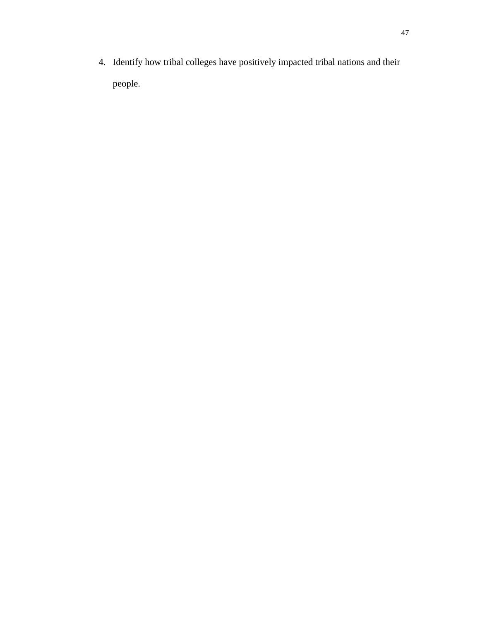4. Identify how tribal colleges have positively impacted tribal nations and their people.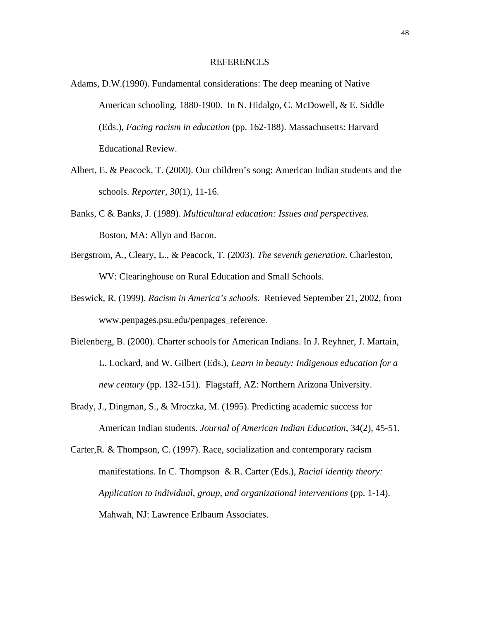#### REFERENCES

- Adams, D.W.(1990). Fundamental considerations: The deep meaning of Native American schooling, 1880-1900. In N. Hidalgo, C. McDowell, & E. Siddle (Eds.), *Facing racism in education* (pp. 162-188). Massachusetts: Harvard Educational Review.
- Albert, E. & Peacock, T. (2000). Our children's song: American Indian students and the schools. *Reporter, 30*(1), 11-16.
- Banks, C & Banks, J. (1989). *Multicultural education: Issues and perspectives.*  Boston, MA: Allyn and Bacon.
- Bergstrom, A., Cleary, L., & Peacock, T. (2003). *The seventh generation*. Charleston, WV: Clearinghouse on Rural Education and Small Schools.
- Beswick, R. (1999). *Racism in America's schools*. Retrieved September 21, 2002, from www.penpages.psu.edu/penpages\_reference.
- Bielenberg, B. (2000). Charter schools for American Indians. In J. Reyhner, J. Martain, L. Lockard, and W. Gilbert (Eds.)*, Learn in beauty: Indigenous education for a new century* (pp. 132-151). Flagstaff, AZ: Northern Arizona University.
- Brady, J., Dingman, S., & Mroczka, M. (1995). Predicting academic success for American Indian students. *Journal of American Indian Education*, 34(2), 45-51.
- Carter,R. & Thompson, C. (1997). Race, socialization and contemporary racism manifestations. In C. Thompson & R. Carter (Eds.), *Racial identity theory: Application to individual, group, and organizational interventions* (pp. 1-14). Mahwah, NJ: Lawrence Erlbaum Associates.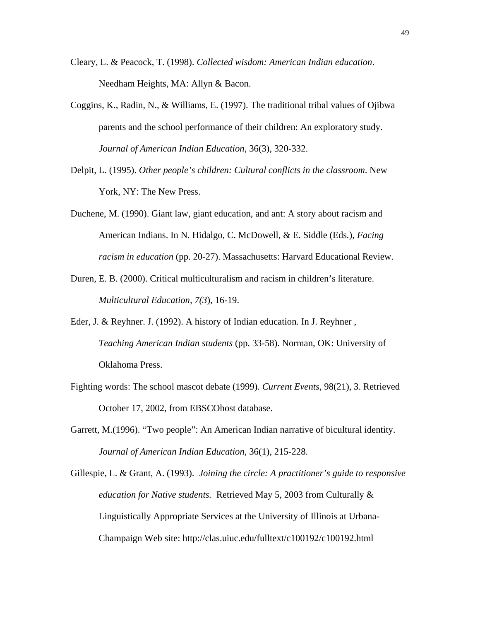- Cleary, L. & Peacock, T. (1998). *Collected wisdom: American Indian education*. Needham Heights, MA: Allyn & Bacon.
- Coggins, K., Radin, N., & Williams, E. (1997). The traditional tribal values of Ojibwa parents and the school performance of their children: An exploratory study. *Journal of American Indian Education*, 36(3), 320-332.
- Delpit, L. (1995). *Other people's children: Cultural conflicts in the classroom*. New York, NY: The New Press.
- Duchene, M. (1990). Giant law, giant education, and ant: A story about racism and American Indians. In N. Hidalgo, C. McDowell, & E. Siddle (Eds*.*), *Facing racism in education* (pp. 20-27). Massachusetts: Harvard Educational Review.
- Duren, E. B. (2000). Critical multiculturalism and racism in children's literature. *Multicultural Education, 7(3*), 16-19.
- Eder, J. & Reyhner. J. (1992). A history of Indian education. In J. Reyhner , *Teaching American Indian students* (pp. 33-58). Norman, OK: University of Oklahoma Press.
- Fighting words: The school mascot debate (1999). *Current Events,* 98(21), 3. Retrieved October 17, 2002, from EBSCOhost database.
- Garrett, M.(1996). "Two people": An American Indian narrative of bicultural identity. *Journal of American Indian Education*, 36(1), 215-228.
- Gillespie, L. & Grant, A. (1993). *Joining the circle: A practitioner's guide to responsive education for Native students.* Retrieved May 5, 2003 from Culturally & Linguistically Appropriate Services at the University of Illinois at Urbana-Champaign Web site: http://clas.uiuc.edu/fulltext/c100192/c100192.html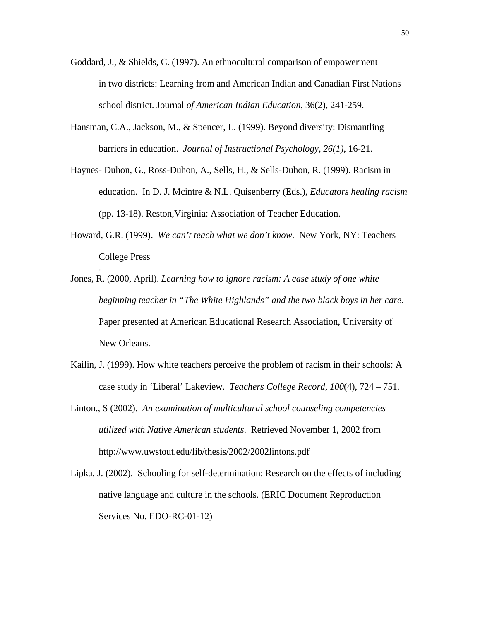- Goddard, J., & Shields, C. (1997). An ethnocultural comparison of empowerment in two districts: Learning from and American Indian and Canadian First Nations school district. Journal *of American Indian Education*, 36(2), 241-259.
- Hansman, C.A., Jackson, M., & Spencer, L. (1999). Beyond diversity: Dismantling barriers in education. *Journal of Instructional Psychology, 26(1)*, 16-21.
- Haynes- Duhon, G., Ross-Duhon, A., Sells, H., & Sells-Duhon, R. (1999). Racism in education. In D. J. Mcintre & N.L. Quisenberry (Eds.), *Educators healing racism*  (pp. 13-18). Reston,Virginia: Association of Teacher Education.
- Howard, G.R. (1999). *We can't teach what we don't know*. New York, NY: Teachers College Press

.

- Jones, R. (2000, April). *Learning how to ignore racism: A case study of one white beginning teacher in "The White Highlands" and the two black boys in her care.* Paper presented at American Educational Research Association, University of New Orleans.
- Kailin, J. (1999). How white teachers perceive the problem of racism in their schools: A case study in 'Liberal' Lakeview. *Teachers College Record, 100*(4), 724 – 751.
- Linton., S (2002). *An examination of multicultural school counseling competencies utilized with Native American students*. Retrieved November 1, 2002 from http://www.uwstout.edu/lib/thesis/2002/2002lintons.pdf
- Lipka, J. (2002). Schooling for self-determination: Research on the effects of including native language and culture in the schools. (ERIC Document Reproduction Services No. EDO-RC-01-12)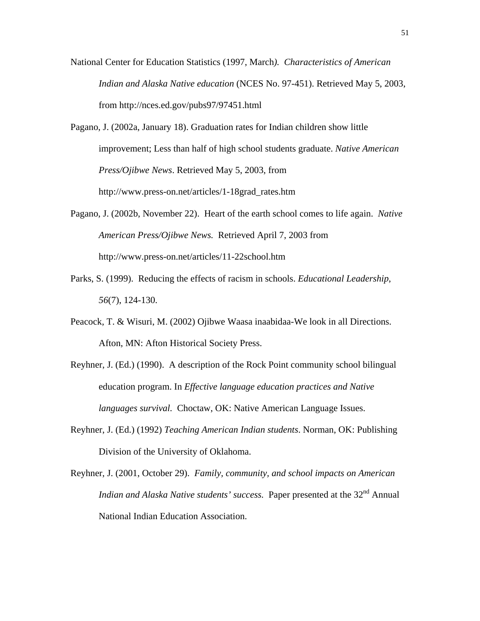- National Center for Education Statistics (1997, March*). Characteristics of American Indian and Alaska Native education* (NCES No. 97-451). Retrieved May 5, 2003, from http://nces.ed.gov/pubs97/97451.html
- Pagano, J. (2002a, January 18). Graduation rates for Indian children show little improvement; Less than half of high school students graduate. *Native American Press/Ojibwe News*. Retrieved May 5, 2003, from http://www.press-on.net/articles/1-18grad\_rates.htm
- Pagano, J. (2002b, November 22). Heart of the earth school comes to life again. *Native American Press/Ojibwe News.* Retrieved April 7, 2003 from http://www.press-on.net/articles/11-22school.htm
- Parks, S. (1999). Reducing the effects of racism in schools. *Educational Leadership*, *56*(7), 124-130.
- Peacock, T. & Wisuri, M. (2002) Ojibwe Waasa inaabidaa-We look in all Directions. Afton, MN: Afton Historical Society Press.
- Reyhner, J. (Ed.) (1990). A description of the Rock Point community school bilingual education program. In *Effective language education practices and Native languages survival.* Choctaw, OK: Native American Language Issues.
- Reyhner, J. (Ed.) (1992) *Teaching American Indian students*. Norman, OK: Publishing Division of the University of Oklahoma.
- Reyhner, J. (2001, October 29). *Family, community, and school impacts on American Indian and Alaska Native students' success.* Paper presented at the 32<sup>nd</sup> Annual National Indian Education Association.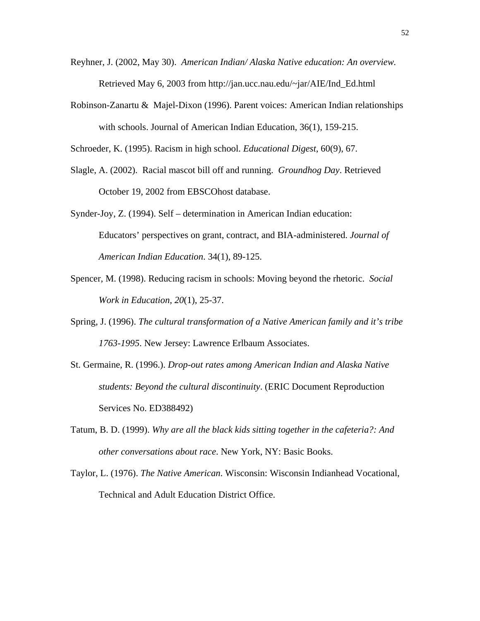- Reyhner, J. (2002, May 30). *American Indian/ Alaska Native education: An overview.*  Retrieved May 6, 2003 from http://jan.ucc.nau.edu/~jar/AIE/Ind\_Ed.html
- Robinson-Zanartu & Majel-Dixon (1996). Parent voices: American Indian relationships with schools. Journal of American Indian Education, 36(1), 159-215.

Schroeder, K. (1995). Racism in high school. *Educational Digest*, 60(9), 67.

- Slagle, A. (2002). Racial mascot bill off and running. *Groundhog Day*. Retrieved October 19, 2002 from EBSCOhost database.
- Synder-Joy, Z. (1994). Self determination in American Indian education: Educators' perspectives on grant, contract, and BIA-administered. *Journal of American Indian Education*. 34(1), 89-125.
- Spencer, M. (1998). Reducing racism in schools: Moving beyond the rhetoric. *Social Work in Education, 20*(1), 25-37.
- Spring, J. (1996). *The cultural transformation of a Native American family and it's tribe 1763-1995*. New Jersey: Lawrence Erlbaum Associates.
- St. Germaine, R. (1996.). *Drop-out rates among American Indian and Alaska Native students: Beyond the cultural discontinuity*. (ERIC Document Reproduction Services No. ED388492)
- Tatum, B. D. (1999). *Why are all the black kids sitting together in the cafeteria?: And other conversations about race*. New York, NY: Basic Books.
- Taylor, L. (1976). *The Native American*. Wisconsin: Wisconsin Indianhead Vocational, Technical and Adult Education District Office.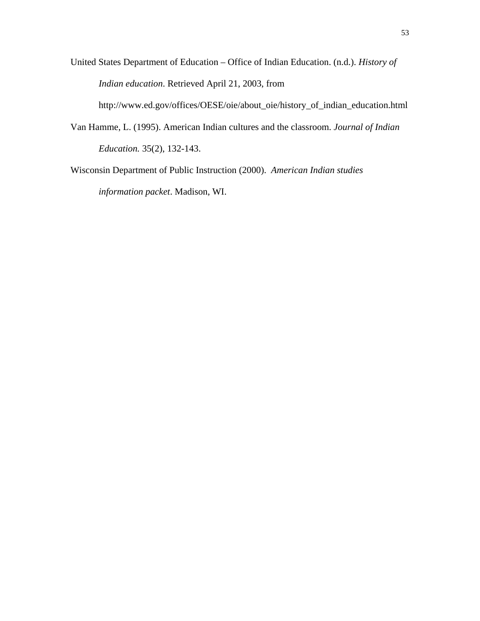United States Department of Education – Office of Indian Education. (n.d.). *History of Indian education*. Retrieved April 21, 2003, from

http://www.ed.gov/offices/OESE/oie/about\_oie/history\_of\_indian\_education.html

Van Hamme, L. (1995). American Indian cultures and the classroom. *Journal of Indian Education.* 35(2), 132-143.

Wisconsin Department of Public Instruction (2000). *American Indian studies information packet*. Madison, WI.